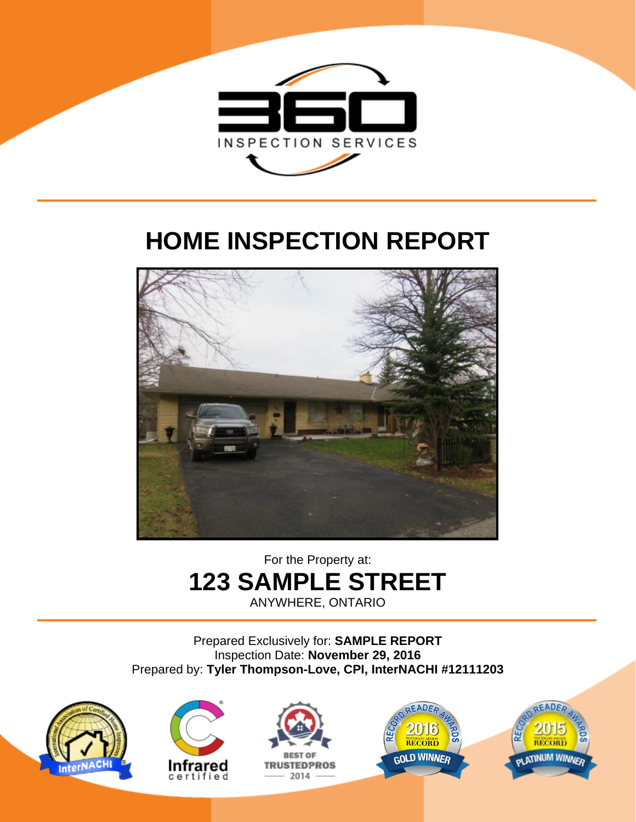

## **HOME INSPECTION REPORT**



## For the Property at: **123 SAMPLE STREET**

ANYWHERE, ONTARIO

Prepared Exclusively for: **SAMPLE REPORT** Inspection Date: **November 29, 2016** Prepared by: **Tyler Thompson-Love, CPI, InterNACHI #12111203**









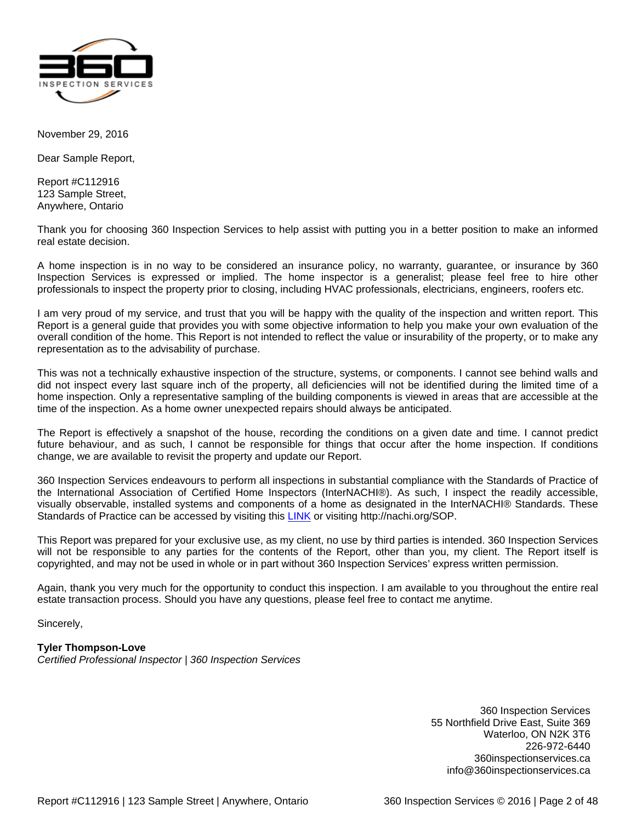

<span id="page-1-0"></span>November 29, 2016

Dear Sample Report,

Report #C112916 123 Sample Street, Anywhere, Ontario

Thank you for choosing 360 Inspection Services to help assist with putting you in a better position to make an informed real estate decision.

A home inspection is in no way to be considered an insurance policy, no warranty, guarantee, or insurance by 360 Inspection Services is expressed or implied. The home inspector is a generalist; please feel free to hire other professionals to inspect the property prior to closing, including HVAC professionals, electricians, engineers, roofers etc.

I am very proud of my service, and trust that you will be happy with the quality of the inspection and written report. This Report is a general guide that provides you with some objective information to help you make your own evaluation of the overall condition of the home. This Report is not intended to reflect the value or insurability of the property, or to make any representation as to the advisability of purchase.

This was not a technically exhaustive inspection of the structure, systems, or components. I cannot see behind walls and did not inspect every last square inch of the property, all deficiencies will not be identified during the limited time of a home inspection. Only a representative sampling of the building components is viewed in areas that are accessible at the time of the inspection. As a home owner unexpected repairs should always be anticipated.

The Report is effectively a snapshot of the house, recording the conditions on a given date and time. I cannot predict future behaviour, and as such, I cannot be responsible for things that occur after the home inspection. If conditions change, we are available to revisit the property and update our Report.

360 Inspection Services endeavours to perform all inspections in substantial compliance with the Standards of Practice of the International Association of Certified Home Inspectors (InterNACHI®). As such, I inspect the readily accessible, visually observable, installed systems and components of a home as designated in the InterNACHI® Standards. These Standards of Practice can be accessed by visiting this [LINK](http://nachi.org/sop) or visiting http://nachi.org/SOP.

This Report was prepared for your exclusive use, as my client, no use by third parties is intended. 360 Inspection Services will not be responsible to any parties for the contents of the Report, other than you, my client. The Report itself is copyrighted, and may not be used in whole or in part without 360 Inspection Services' express written permission.

Again, thank you very much for the opportunity to conduct this inspection. I am available to you throughout the entire real estate transaction process. Should you have any questions, please feel free to contact me anytime.

Sincerely,

### **Tyler Thompson-Love**

*Certified Professional Inspector | 360 Inspection Services*

360 Inspection Services 55 Northfield Drive East, Suite 369 Waterloo, ON N2K 3T6 226-972-6440 360inspectionservices.ca info@360inspectionservices.ca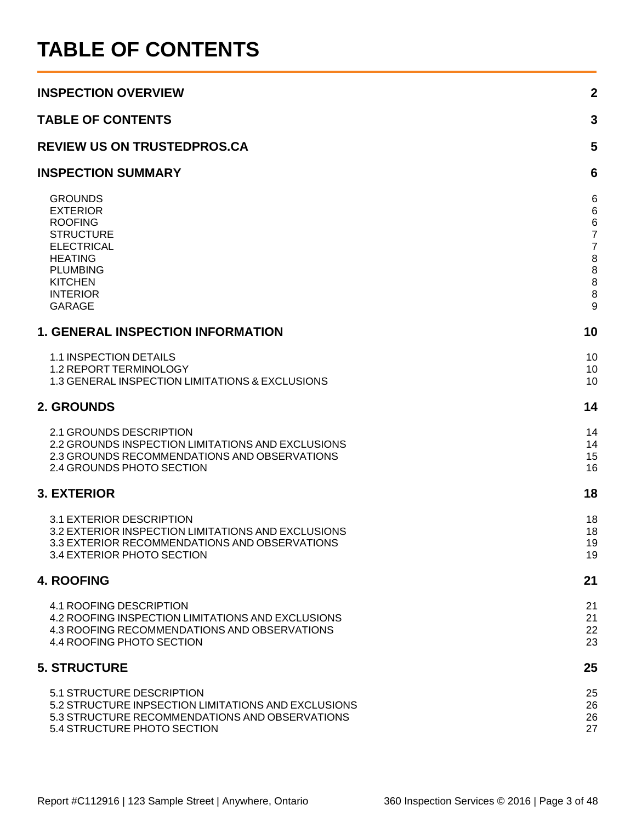## <span id="page-2-0"></span>**TABLE OF CONTENTS**

| <b>INSPECTION OVERVIEW</b>                                                                                                                                                              | $\boldsymbol{2}$                                                                                          |
|-----------------------------------------------------------------------------------------------------------------------------------------------------------------------------------------|-----------------------------------------------------------------------------------------------------------|
| <b>TABLE OF CONTENTS</b>                                                                                                                                                                | 3                                                                                                         |
| <b>REVIEW US ON TRUSTEDPROS.CA</b>                                                                                                                                                      | 5                                                                                                         |
| <b>INSPECTION SUMMARY</b>                                                                                                                                                               | 6                                                                                                         |
| <b>GROUNDS</b><br><b>EXTERIOR</b><br><b>ROOFING</b><br><b>STRUCTURE</b><br><b>ELECTRICAL</b><br><b>HEATING</b><br><b>PLUMBING</b><br><b>KITCHEN</b><br><b>INTERIOR</b><br><b>GARAGE</b> | 6<br>$6\phantom{1}6$<br>$\,6$<br>$\overline{7}$<br>$\overline{7}$<br>$\boldsymbol{8}$<br>8<br>8<br>8<br>9 |
| <b>1. GENERAL INSPECTION INFORMATION</b>                                                                                                                                                | 10                                                                                                        |
| 1.1 INSPECTION DETAILS<br>1.2 REPORT TERMINOLOGY<br>1.3 GENERAL INSPECTION LIMITATIONS & EXCLUSIONS                                                                                     | 10<br>10<br>10                                                                                            |
| 2. GROUNDS                                                                                                                                                                              | 14                                                                                                        |
| 2.1 GROUNDS DESCRIPTION<br>2.2 GROUNDS INSPECTION LIMITATIONS AND EXCLUSIONS<br>2.3 GROUNDS RECOMMENDATIONS AND OBSERVATIONS<br>2.4 GROUNDS PHOTO SECTION                               | 14<br>14<br>15<br>16                                                                                      |
| <b>3. EXTERIOR</b>                                                                                                                                                                      | 18                                                                                                        |
| 3.1 EXTERIOR DESCRIPTION<br>3.2 EXTERIOR INSPECTION LIMITATIONS AND EXCLUSIONS<br>3.3 EXTERIOR RECOMMENDATIONS AND OBSERVATIONS<br>3.4 EXTERIOR PHOTO SECTION                           | 18<br>18<br>19<br>19                                                                                      |
| <b>4. ROOFING</b>                                                                                                                                                                       | 21                                                                                                        |
| 4.1 ROOFING DESCRIPTION<br>4.2 ROOFING INSPECTION LIMITATIONS AND EXCLUSIONS<br>4.3 ROOFING RECOMMENDATIONS AND OBSERVATIONS<br>4.4 ROOFING PHOTO SECTION                               | 21<br>21<br>22<br>23                                                                                      |
| <b>5. STRUCTURE</b>                                                                                                                                                                     | 25                                                                                                        |
| 5.1 STRUCTURE DESCRIPTION<br>5.2 STRUCTURE INPSECTION LIMITATIONS AND EXCLUSIONS<br>5.3 STRUCTURE RECOMMENDATIONS AND OBSERVATIONS<br>5.4 STRUCTURE PHOTO SECTION                       | 25<br>26<br>26<br>27                                                                                      |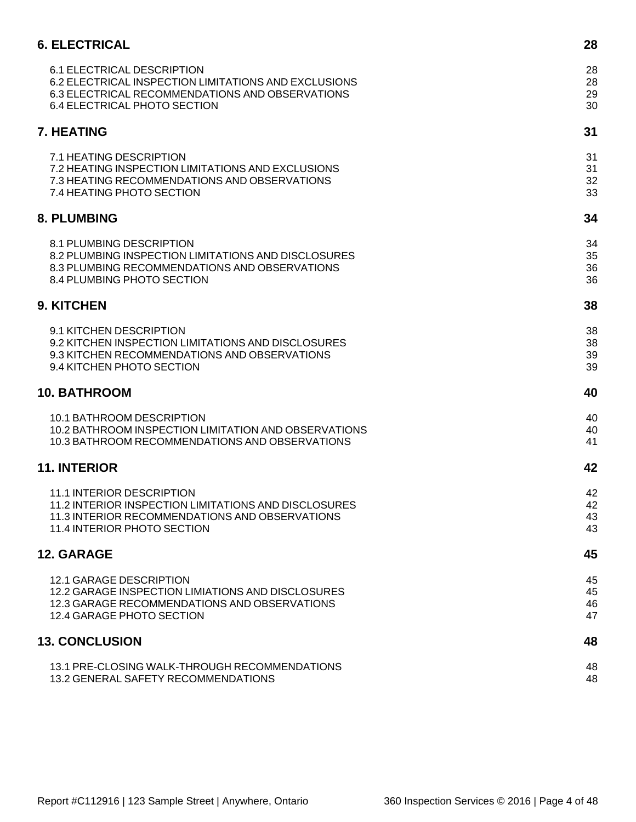| <b>6. ELECTRICAL</b>                                 | 28 |
|------------------------------------------------------|----|
| 6.1 ELECTRICAL DESCRIPTION                           | 28 |
| 6.2 ELECTRICAL INSPECTION LIMITATIONS AND EXCLUSIONS | 28 |
| 6.3 ELECTRICAL RECOMMENDATIONS AND OBSERVATIONS      | 29 |
| 6.4 ELECTRICAL PHOTO SECTION                         | 30 |
| <b>7. HEATING</b>                                    | 31 |
| 7.1 HEATING DESCRIPTION                              | 31 |
| 7.2 HEATING INSPECTION LIMITATIONS AND EXCLUSIONS    | 31 |
| 7.3 HEATING RECOMMENDATIONS AND OBSERVATIONS         | 32 |
| 7.4 HEATING PHOTO SECTION                            | 33 |
| <b>8. PLUMBING</b>                                   | 34 |
| 8.1 PLUMBING DESCRIPTION                             | 34 |
| 8.2 PLUMBING INSPECTION LIMITATIONS AND DISCLOSURES  | 35 |
| 8.3 PLUMBING RECOMMENDATIONS AND OBSERVATIONS        | 36 |
| 8.4 PLUMBING PHOTO SECTION                           | 36 |
| 9. KITCHEN                                           | 38 |
| 9.1 KITCHEN DESCRIPTION                              | 38 |
| 9.2 KITCHEN INSPECTION LIMITATIONS AND DISCLOSURES   | 38 |
| 9.3 KITCHEN RECOMMENDATIONS AND OBSERVATIONS         | 39 |
| 9.4 KITCHEN PHOTO SECTION                            | 39 |
| <b>10. BATHROOM</b>                                  | 40 |
| 10.1 BATHROOM DESCRIPTION                            | 40 |
| 10.2 BATHROOM INSPECTION LIMITATION AND OBSERVATIONS | 40 |
| 10.3 BATHROOM RECOMMENDATIONS AND OBSERVATIONS       | 41 |
| <b>11. INTERIOR</b>                                  | 42 |
| <b>11.1 INTERIOR DESCRIPTION</b>                     | 42 |
| 11.2 INTERIOR INSPECTION LIMITATIONS AND DISCLOSURES | 42 |
| 11.3 INTERIOR RECOMMENDATIONS AND OBSERVATIONS       | 43 |
| 11.4 INTERIOR PHOTO SECTION                          | 43 |
| <b>12. GARAGE</b>                                    | 45 |
| <b>12.1 GARAGE DESCRIPTION</b>                       | 45 |
| 12.2 GARAGE INSPECTION LIMIATIONS AND DISCLOSURES    | 45 |
| 12.3 GARAGE RECOMMENDATIONS AND OBSERVATIONS         | 46 |
| 12.4 GARAGE PHOTO SECTION                            | 47 |
| <b>13. CONCLUSION</b>                                | 48 |
| 13.1 PRE-CLOSING WALK-THROUGH RECOMMENDATIONS        | 48 |
| 13.2 GENERAL SAFETY RECOMMENDATIONS                  | 48 |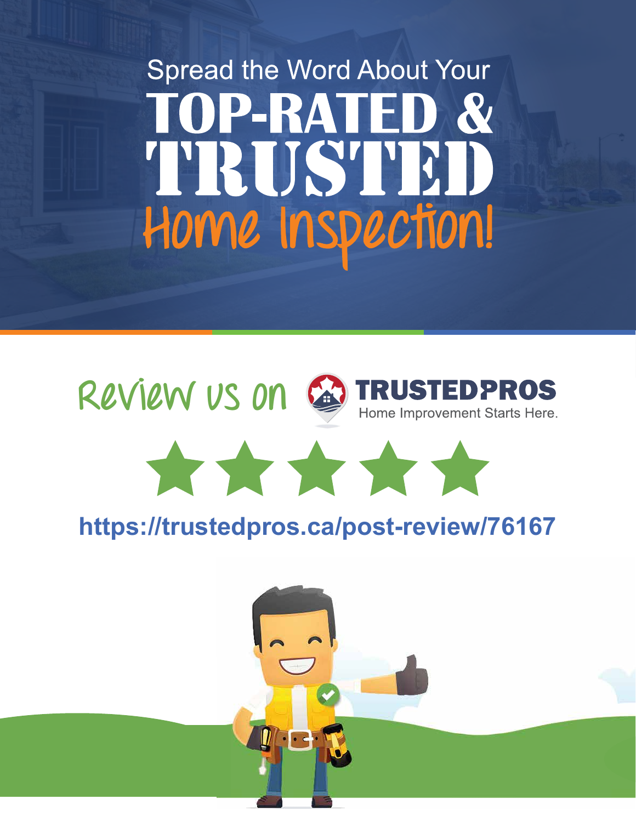# <span id="page-4-0"></span>**Spread the Word About Your TOP-RATED &** TRUSTED Home Inspection!

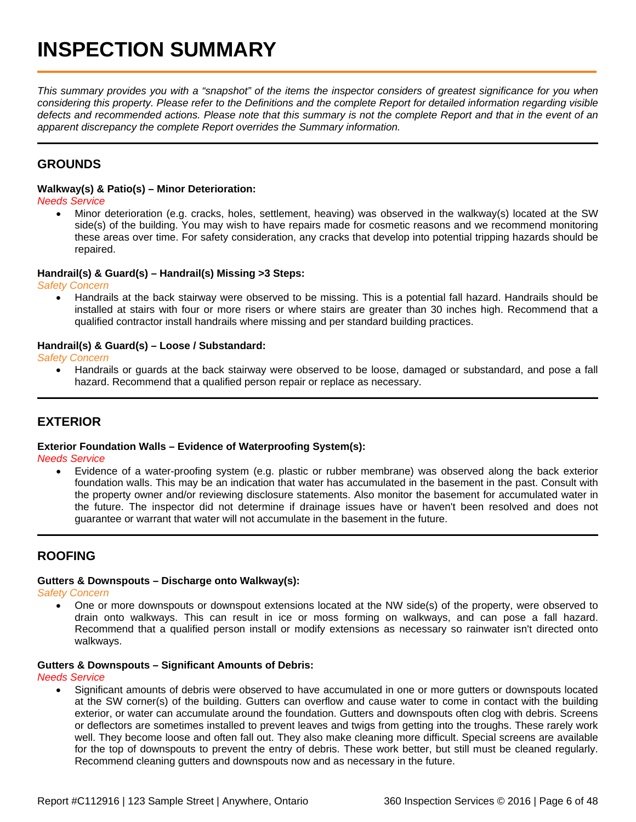<span id="page-5-0"></span>*This summary provides you with a "snapshot" of the items the inspector considers of greatest significance for you when considering this property. Please refer to the Definitions and the complete Report for detailed information regarding visible defects and recommended actions. Please note that this summary is not the complete Report and that in the event of an apparent discrepancy the complete Report overrides the Summary information.*

### <span id="page-5-1"></span>**GROUNDS**

### **Walkway(s) & Patio(s) – Minor Deterioration:**

*Needs Service*

• Minor deterioration (e.g. cracks, holes, settlement, heaving) was observed in the walkway(s) located at the SW side(s) of the building. You may wish to have repairs made for cosmetic reasons and we recommend monitoring these areas over time. For safety consideration, any cracks that develop into potential tripping hazards should be repaired.

### **Handrail(s) & Guard(s) – Handrail(s) Missing >3 Steps:**

*Safety Concern*

• Handrails at the back stairway were observed to be missing. This is a potential fall hazard. Handrails should be installed at stairs with four or more risers or where stairs are greater than 30 inches high. Recommend that a qualified contractor install handrails where missing and per standard building practices.

### **Handrail(s) & Guard(s) – Loose / Substandard:**

*Safety Concern*

• Handrails or guards at the back stairway were observed to be loose, damaged or substandard, and pose a fall hazard. Recommend that a qualified person repair or replace as necessary.

### <span id="page-5-2"></span>**EXTERIOR**

#### **Exterior Foundation Walls – Evidence of Waterproofing System(s):**

*Needs Service*

• Evidence of a water-proofing system (e.g. plastic or rubber membrane) was observed along the back exterior foundation walls. This may be an indication that water has accumulated in the basement in the past. Consult with the property owner and/or reviewing disclosure statements. Also monitor the basement for accumulated water in the future. The inspector did not determine if drainage issues have or haven't been resolved and does not guarantee or warrant that water will not accumulate in the basement in the future.

### <span id="page-5-3"></span>**ROOFING**

### **Gutters & Downspouts – Discharge onto Walkway(s):**

*Safety Concern*

• One or more downspouts or downspout extensions located at the NW side(s) of the property, were observed to drain onto walkways. This can result in ice or moss forming on walkways, and can pose a fall hazard. Recommend that a qualified person install or modify extensions as necessary so rainwater isn't directed onto walkways.

### **Gutters & Downspouts – Significant Amounts of Debris:**

*Needs Service*

• Significant amounts of debris were observed to have accumulated in one or more gutters or downspouts located at the SW corner(s) of the building. Gutters can overflow and cause water to come in contact with the building exterior, or water can accumulate around the foundation. Gutters and downspouts often clog with debris. Screens or deflectors are sometimes installed to prevent leaves and twigs from getting into the troughs. These rarely work well. They become loose and often fall out. They also make cleaning more difficult. Special screens are available for the top of downspouts to prevent the entry of debris. These work better, but still must be cleaned regularly. Recommend cleaning gutters and downspouts now and as necessary in the future.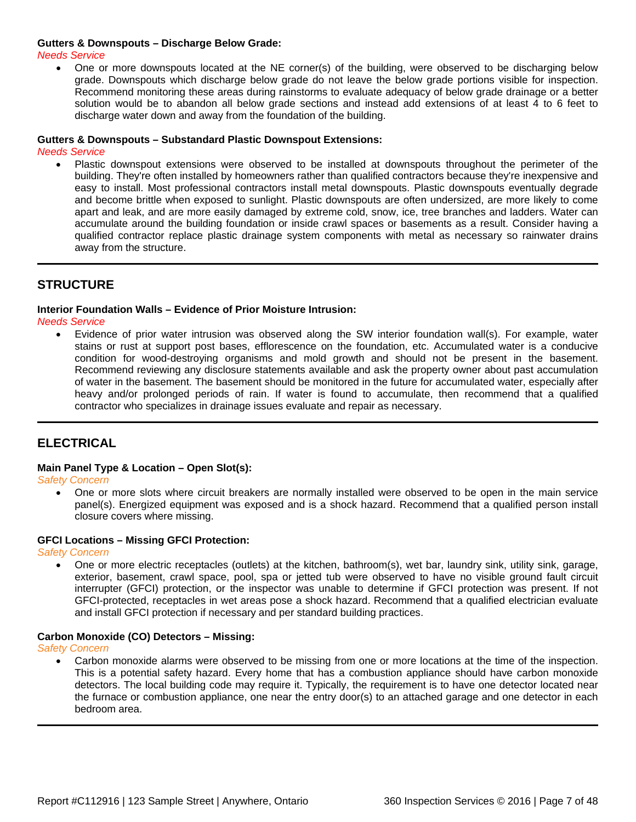### **Gutters & Downspouts – Discharge Below Grade:**

*Needs Service*

• One or more downspouts located at the NE corner(s) of the building, were observed to be discharging below grade. Downspouts which discharge below grade do not leave the below grade portions visible for inspection. Recommend monitoring these areas during rainstorms to evaluate adequacy of below grade drainage or a better solution would be to abandon all below grade sections and instead add extensions of at least 4 to 6 feet to discharge water down and away from the foundation of the building.

### **Gutters & Downspouts – Substandard Plastic Downspout Extensions:**

*Needs Service*

• Plastic downspout extensions were observed to be installed at downspouts throughout the perimeter of the building. They're often installed by homeowners rather than qualified contractors because they're inexpensive and easy to install. Most professional contractors install metal downspouts. Plastic downspouts eventually degrade and become brittle when exposed to sunlight. Plastic downspouts are often undersized, are more likely to come apart and leak, and are more easily damaged by extreme cold, snow, ice, tree branches and ladders. Water can accumulate around the building foundation or inside crawl spaces or basements as a result. Consider having a qualified contractor replace plastic drainage system components with metal as necessary so rainwater drains away from the structure.

### <span id="page-6-0"></span>**STRUCTURE**

**Interior Foundation Walls – Evidence of Prior Moisture Intrusion:**

*Needs Service*

• Evidence of prior water intrusion was observed along the SW interior foundation wall(s). For example, water stains or rust at support post bases, efflorescence on the foundation, etc. Accumulated water is a conducive condition for wood-destroying organisms and mold growth and should not be present in the basement. Recommend reviewing any disclosure statements available and ask the property owner about past accumulation of water in the basement. The basement should be monitored in the future for accumulated water, especially after heavy and/or prolonged periods of rain. If water is found to accumulate, then recommend that a qualified contractor who specializes in drainage issues evaluate and repair as necessary.

### <span id="page-6-1"></span>**ELECTRICAL**

#### **Main Panel Type & Location – Open Slot(s):**

*Safety Concern*

• One or more slots where circuit breakers are normally installed were observed to be open in the main service panel(s). Energized equipment was exposed and is a shock hazard. Recommend that a qualified person install closure covers where missing.

#### **GFCI Locations – Missing GFCI Protection:**

*Safety Concern*

• One or more electric receptacles (outlets) at the kitchen, bathroom(s), wet bar, laundry sink, utility sink, garage, exterior, basement, crawl space, pool, spa or jetted tub were observed to have no visible ground fault circuit interrupter (GFCI) protection, or the inspector was unable to determine if GFCI protection was present. If not GFCI-protected, receptacles in wet areas pose a shock hazard. Recommend that a qualified electrician evaluate and install GFCI protection if necessary and per standard building practices.

### **Carbon Monoxide (CO) Detectors – Missing:**

*Safety Concern*

• Carbon monoxide alarms were observed to be missing from one or more locations at the time of the inspection. This is a potential safety hazard. Every home that has a combustion appliance should have carbon monoxide detectors. The local building code may require it. Typically, the requirement is to have one detector located near the furnace or combustion appliance, one near the entry door(s) to an attached garage and one detector in each bedroom area.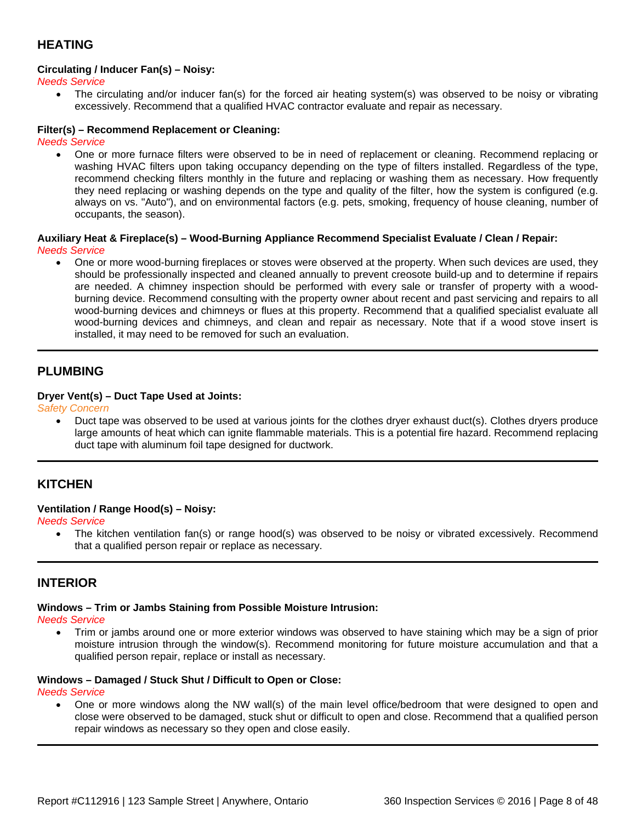### <span id="page-7-0"></span>**HEATING**

### **Circulating / Inducer Fan(s) – Noisy:**

*Needs Service*

• The circulating and/or inducer fan(s) for the forced air heating system(s) was observed to be noisy or vibrating excessively. Recommend that a qualified HVAC contractor evaluate and repair as necessary.

### **Filter(s) – Recommend Replacement or Cleaning:**

*Needs Service*

• One or more furnace filters were observed to be in need of replacement or cleaning. Recommend replacing or washing HVAC filters upon taking occupancy depending on the type of filters installed. Regardless of the type, recommend checking filters monthly in the future and replacing or washing them as necessary. How frequently they need replacing or washing depends on the type and quality of the filter, how the system is configured (e.g. always on vs. "Auto"), and on environmental factors (e.g. pets, smoking, frequency of house cleaning, number of occupants, the season).

#### **Auxiliary Heat & Fireplace(s) – Wood-Burning Appliance Recommend Specialist Evaluate / Clean / Repair:** *Needs Service*

• One or more wood-burning fireplaces or stoves were observed at the property. When such devices are used, they should be professionally inspected and cleaned annually to prevent creosote build-up and to determine if repairs are needed. A chimney inspection should be performed with every sale or transfer of property with a woodburning device. Recommend consulting with the property owner about recent and past servicing and repairs to all wood-burning devices and chimneys or flues at this property. Recommend that a qualified specialist evaluate all wood-burning devices and chimneys, and clean and repair as necessary. Note that if a wood stove insert is installed, it may need to be removed for such an evaluation.

### <span id="page-7-1"></span>**PLUMBING**

### **Dryer Vent(s) – Duct Tape Used at Joints:**

*Safety Concern*

• Duct tape was observed to be used at various joints for the clothes dryer exhaust duct(s). Clothes dryers produce large amounts of heat which can ignite flammable materials. This is a potential fire hazard. Recommend replacing duct tape with aluminum foil tape designed for ductwork.

### <span id="page-7-2"></span>**KITCHEN**

### **Ventilation / Range Hood(s) – Noisy:**

*Needs Service*

• The kitchen ventilation fan(s) or range hood(s) was observed to be noisy or vibrated excessively. Recommend that a qualified person repair or replace as necessary.

### <span id="page-7-3"></span>**INTERIOR**

### **Windows – Trim or Jambs Staining from Possible Moisture Intrusion:**

*Needs Service*

• Trim or jambs around one or more exterior windows was observed to have staining which may be a sign of prior moisture intrusion through the window(s). Recommend monitoring for future moisture accumulation and that a qualified person repair, replace or install as necessary.

#### **Windows – Damaged / Stuck Shut / Difficult to Open or Close:**

*Needs Service*

• One or more windows along the NW wall(s) of the main level office/bedroom that were designed to open and close were observed to be damaged, stuck shut or difficult to open and close. Recommend that a qualified person repair windows as necessary so they open and close easily.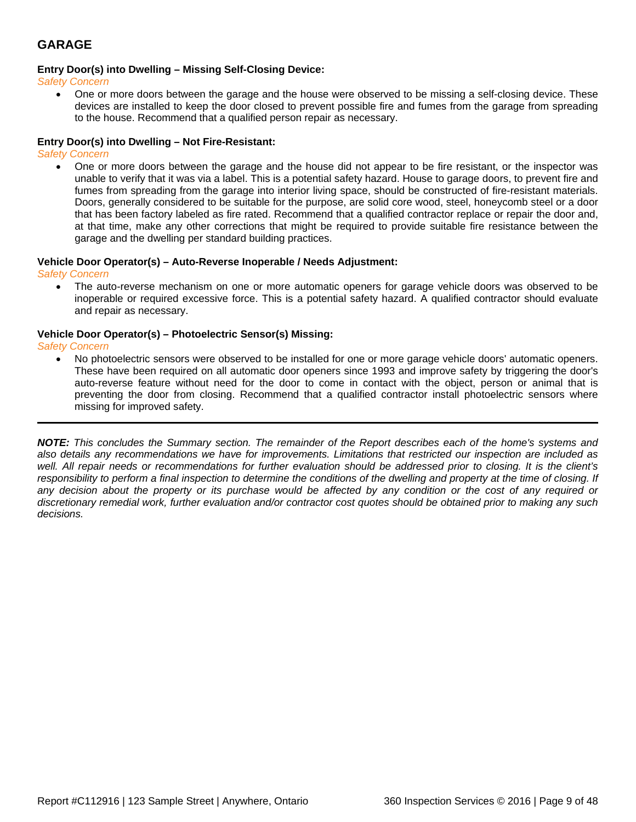### <span id="page-8-0"></span>**GARAGE**

### **Entry Door(s) into Dwelling – Missing Self-Closing Device:**

*Safety Concern*

• One or more doors between the garage and the house were observed to be missing a self-closing device. These devices are installed to keep the door closed to prevent possible fire and fumes from the garage from spreading to the house. Recommend that a qualified person repair as necessary.

### **Entry Door(s) into Dwelling – Not Fire-Resistant:**

*Safety Concern*

• One or more doors between the garage and the house did not appear to be fire resistant, or the inspector was unable to verify that it was via a label. This is a potential safety hazard. House to garage doors, to prevent fire and fumes from spreading from the garage into interior living space, should be constructed of fire-resistant materials. Doors, generally considered to be suitable for the purpose, are solid core wood, steel, honeycomb steel or a door that has been factory labeled as fire rated. Recommend that a qualified contractor replace or repair the door and, at that time, make any other corrections that might be required to provide suitable fire resistance between the garage and the dwelling per standard building practices.

#### **Vehicle Door Operator(s) – Auto-Reverse Inoperable / Needs Adjustment:**

*Safety Concern*

• The auto-reverse mechanism on one or more automatic openers for garage vehicle doors was observed to be inoperable or required excessive force. This is a potential safety hazard. A qualified contractor should evaluate and repair as necessary.

#### **Vehicle Door Operator(s) – Photoelectric Sensor(s) Missing:**

*Safety Concern*

• No photoelectric sensors were observed to be installed for one or more garage vehicle doors' automatic openers. These have been required on all automatic door openers since 1993 and improve safety by triggering the door's auto-reverse feature without need for the door to come in contact with the object, person or animal that is preventing the door from closing. Recommend that a qualified contractor install photoelectric sensors where missing for improved safety.

*NOTE: This concludes the Summary section. The remainder of the Report describes each of the home's systems and also details any recommendations we have for improvements. Limitations that restricted our inspection are included as well. All repair needs or recommendations for further evaluation should be addressed prior to closing. It is the client's responsibility to perform a final inspection to determine the conditions of the dwelling and property at the time of closing. If any decision about the property or its purchase would be affected by any condition or the cost of any required or discretionary remedial work, further evaluation and/or contractor cost quotes should be obtained prior to making any such decisions.*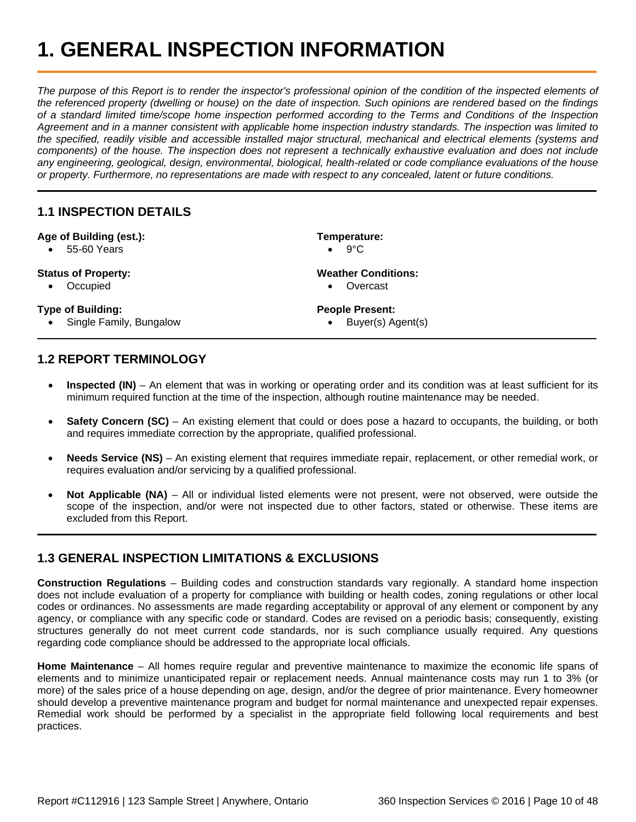## <span id="page-9-0"></span>**1. GENERAL INSPECTION INFORMATION**

*The purpose of this Report is to render the inspector's professional opinion of the condition of the inspected elements of the referenced property (dwelling or house) on the date of inspection. Such opinions are rendered based on the findings of a standard limited time/scope home inspection performed according to the Terms and Conditions of the Inspection Agreement and in a manner consistent with applicable home inspection industry standards. The inspection was limited to the specified, readily visible and accessible installed major structural, mechanical and electrical elements (systems and components) of the house. The inspection does not represent a technically exhaustive evaluation and does not include any engineering, geological, design, environmental, biological, health-related or code compliance evaluations of the house or property. Furthermore, no representations are made with respect to any concealed, latent or future conditions.*

### <span id="page-9-1"></span>**1.1 INSPECTION DETAILS**

#### **Age of Building (est.):**

• 55-60 Years

### **Status of Property:**

• Occupied

#### **Type of Building:**

• Single Family, Bungalow

 $\bullet$  9°C

**Temperature:**

**Weather Conditions:** • Overcast

- **People Present:**
	- Buyer(s) Agent(s)

### <span id="page-9-2"></span>**1.2 REPORT TERMINOLOGY**

- **Inspected (IN)** An element that was in working or operating order and its condition was at least sufficient for its minimum required function at the time of the inspection, although routine maintenance may be needed.
- **Safety Concern (SC)** An existing element that could or does pose a hazard to occupants, the building, or both and requires immediate correction by the appropriate, qualified professional.
- **Needs Service (NS)** An existing element that requires immediate repair, replacement, or other remedial work, or requires evaluation and/or servicing by a qualified professional.
- **Not Applicable (NA)** All or individual listed elements were not present, were not observed, were outside the scope of the inspection, and/or were not inspected due to other factors, stated or otherwise. These items are excluded from this Report.

### <span id="page-9-3"></span>**1.3 GENERAL INSPECTION LIMITATIONS & EXCLUSIONS**

**Construction Regulations** – Building codes and construction standards vary regionally. A standard home inspection does not include evaluation of a property for compliance with building or health codes, zoning regulations or other local codes or ordinances. No assessments are made regarding acceptability or approval of any element or component by any agency, or compliance with any specific code or standard. Codes are revised on a periodic basis; consequently, existing structures generally do not meet current code standards, nor is such compliance usually required. Any questions regarding code compliance should be addressed to the appropriate local officials.

**Home Maintenance** – All homes require regular and preventive maintenance to maximize the economic life spans of elements and to minimize unanticipated repair or replacement needs. Annual maintenance costs may run 1 to 3% (or more) of the sales price of a house depending on age, design, and/or the degree of prior maintenance. Every homeowner should develop a preventive maintenance program and budget for normal maintenance and unexpected repair expenses. Remedial work should be performed by a specialist in the appropriate field following local requirements and best practices.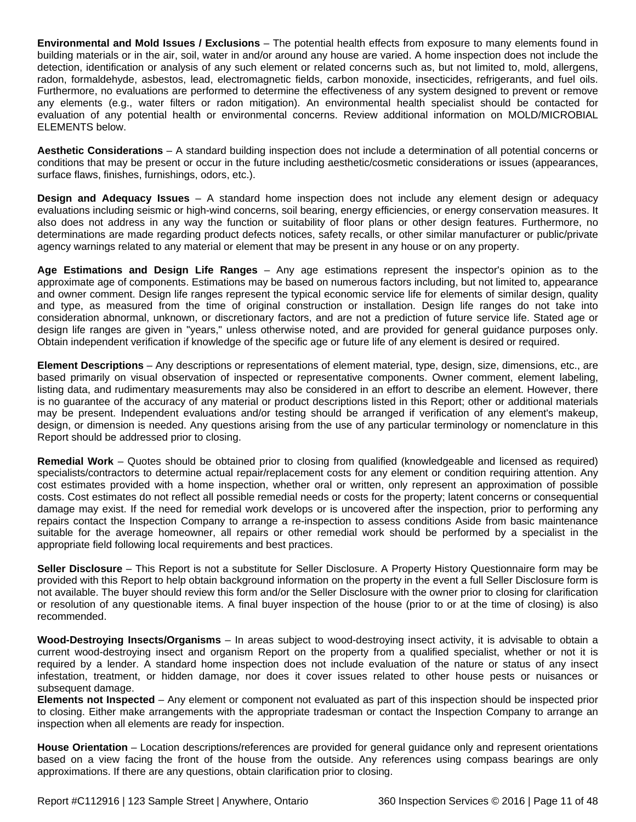**Environmental and Mold Issues / Exclusions** – The potential health effects from exposure to many elements found in building materials or in the air, soil, water in and/or around any house are varied. A home inspection does not include the detection, identification or analysis of any such element or related concerns such as, but not limited to, mold, allergens, radon, formaldehyde, asbestos, lead, electromagnetic fields, carbon monoxide, insecticides, refrigerants, and fuel oils. Furthermore, no evaluations are performed to determine the effectiveness of any system designed to prevent or remove any elements (e.g., water filters or radon mitigation). An environmental health specialist should be contacted for evaluation of any potential health or environmental concerns. Review additional information on MOLD/MICROBIAL ELEMENTS below.

**Aesthetic Considerations** – A standard building inspection does not include a determination of all potential concerns or conditions that may be present or occur in the future including aesthetic/cosmetic considerations or issues (appearances, surface flaws, finishes, furnishings, odors, etc.).

**Design and Adequacy Issues** – A standard home inspection does not include any element design or adequacy evaluations including seismic or high-wind concerns, soil bearing, energy efficiencies, or energy conservation measures. It also does not address in any way the function or suitability of floor plans or other design features. Furthermore, no determinations are made regarding product defects notices, safety recalls, or other similar manufacturer or public/private agency warnings related to any material or element that may be present in any house or on any property.

**Age Estimations and Design Life Ranges** – Any age estimations represent the inspector's opinion as to the approximate age of components. Estimations may be based on numerous factors including, but not limited to, appearance and owner comment. Design life ranges represent the typical economic service life for elements of similar design, quality and type, as measured from the time of original construction or installation. Design life ranges do not take into consideration abnormal, unknown, or discretionary factors, and are not a prediction of future service life. Stated age or design life ranges are given in "years," unless otherwise noted, and are provided for general guidance purposes only. Obtain independent verification if knowledge of the specific age or future life of any element is desired or required.

**Element Descriptions** – Any descriptions or representations of element material, type, design, size, dimensions, etc., are based primarily on visual observation of inspected or representative components. Owner comment, element labeling, listing data, and rudimentary measurements may also be considered in an effort to describe an element. However, there is no guarantee of the accuracy of any material or product descriptions listed in this Report; other or additional materials may be present. Independent evaluations and/or testing should be arranged if verification of any element's makeup, design, or dimension is needed. Any questions arising from the use of any particular terminology or nomenclature in this Report should be addressed prior to closing.

**Remedial Work** – Quotes should be obtained prior to closing from qualified (knowledgeable and licensed as required) specialists/contractors to determine actual repair/replacement costs for any element or condition requiring attention. Any cost estimates provided with a home inspection, whether oral or written, only represent an approximation of possible costs. Cost estimates do not reflect all possible remedial needs or costs for the property; latent concerns or consequential damage may exist. If the need for remedial work develops or is uncovered after the inspection, prior to performing any repairs contact the Inspection Company to arrange a re-inspection to assess conditions Aside from basic maintenance suitable for the average homeowner, all repairs or other remedial work should be performed by a specialist in the appropriate field following local requirements and best practices.

**Seller Disclosure** – This Report is not a substitute for Seller Disclosure. A Property History Questionnaire form may be provided with this Report to help obtain background information on the property in the event a full Seller Disclosure form is not available. The buyer should review this form and/or the Seller Disclosure with the owner prior to closing for clarification or resolution of any questionable items. A final buyer inspection of the house (prior to or at the time of closing) is also recommended.

**Wood-Destroying Insects/Organisms** – In areas subject to wood-destroying insect activity, it is advisable to obtain a current wood-destroying insect and organism Report on the property from a qualified specialist, whether or not it is required by a lender. A standard home inspection does not include evaluation of the nature or status of any insect infestation, treatment, or hidden damage, nor does it cover issues related to other house pests or nuisances or subsequent damage.

**Elements not Inspected** – Any element or component not evaluated as part of this inspection should be inspected prior to closing. Either make arrangements with the appropriate tradesman or contact the Inspection Company to arrange an inspection when all elements are ready for inspection.

**House Orientation** – Location descriptions/references are provided for general guidance only and represent orientations based on a view facing the front of the house from the outside. Any references using compass bearings are only approximations. If there are any questions, obtain clarification prior to closing.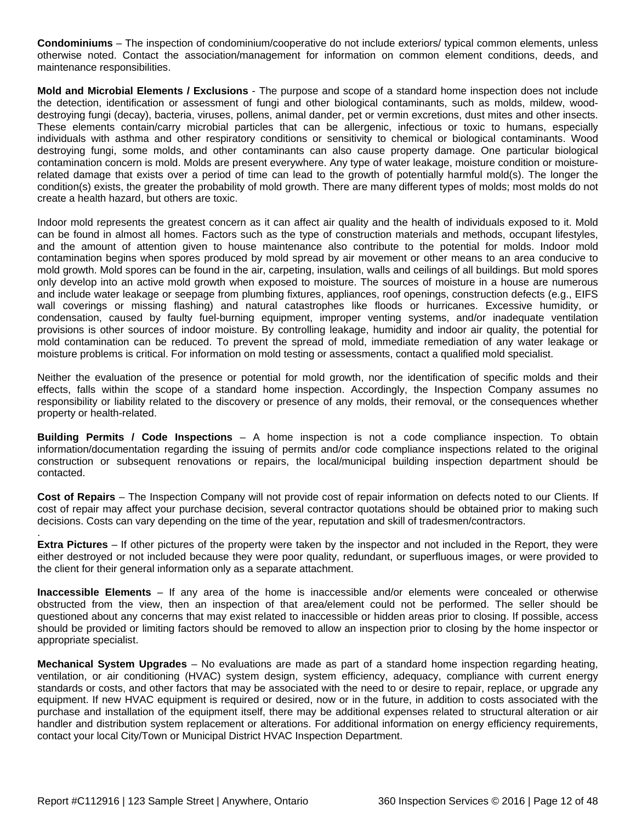**Condominiums** – The inspection of condominium/cooperative do not include exteriors/ typical common elements, unless otherwise noted. Contact the association/management for information on common element conditions, deeds, and maintenance responsibilities.

**Mold and Microbial Elements / Exclusions** - The purpose and scope of a standard home inspection does not include the detection, identification or assessment of fungi and other biological contaminants, such as molds, mildew, wooddestroying fungi (decay), bacteria, viruses, pollens, animal dander, pet or vermin excretions, dust mites and other insects. These elements contain/carry microbial particles that can be allergenic, infectious or toxic to humans, especially individuals with asthma and other respiratory conditions or sensitivity to chemical or biological contaminants. Wood destroying fungi, some molds, and other contaminants can also cause property damage. One particular biological contamination concern is mold. Molds are present everywhere. Any type of water leakage, moisture condition or moisturerelated damage that exists over a period of time can lead to the growth of potentially harmful mold(s). The longer the condition(s) exists, the greater the probability of mold growth. There are many different types of molds; most molds do not create a health hazard, but others are toxic.

Indoor mold represents the greatest concern as it can affect air quality and the health of individuals exposed to it. Mold can be found in almost all homes. Factors such as the type of construction materials and methods, occupant lifestyles, and the amount of attention given to house maintenance also contribute to the potential for molds. Indoor mold contamination begins when spores produced by mold spread by air movement or other means to an area conducive to mold growth. Mold spores can be found in the air, carpeting, insulation, walls and ceilings of all buildings. But mold spores only develop into an active mold growth when exposed to moisture. The sources of moisture in a house are numerous and include water leakage or seepage from plumbing fixtures, appliances, roof openings, construction defects (e.g., EIFS wall coverings or missing flashing) and natural catastrophes like floods or hurricanes. Excessive humidity, or condensation, caused by faulty fuel-burning equipment, improper venting systems, and/or inadequate ventilation provisions is other sources of indoor moisture. By controlling leakage, humidity and indoor air quality, the potential for mold contamination can be reduced. To prevent the spread of mold, immediate remediation of any water leakage or moisture problems is critical. For information on mold testing or assessments, contact a qualified mold specialist.

Neither the evaluation of the presence or potential for mold growth, nor the identification of specific molds and their effects, falls within the scope of a standard home inspection. Accordingly, the Inspection Company assumes no responsibility or liability related to the discovery or presence of any molds, their removal, or the consequences whether property or health-related.

**Building Permits / Code Inspections** – A home inspection is not a code compliance inspection. To obtain information/documentation regarding the issuing of permits and/or code compliance inspections related to the original construction or subsequent renovations or repairs, the local/municipal building inspection department should be contacted.

**Cost of Repairs** – The Inspection Company will not provide cost of repair information on defects noted to our Clients. If cost of repair may affect your purchase decision, several contractor quotations should be obtained prior to making such decisions. Costs can vary depending on the time of the year, reputation and skill of tradesmen/contractors.

. **Extra Pictures** – If other pictures of the property were taken by the inspector and not included in the Report, they were either destroyed or not included because they were poor quality, redundant, or superfluous images, or were provided to the client for their general information only as a separate attachment.

**Inaccessible Elements** – If any area of the home is inaccessible and/or elements were concealed or otherwise obstructed from the view, then an inspection of that area/element could not be performed. The seller should be questioned about any concerns that may exist related to inaccessible or hidden areas prior to closing. If possible, access should be provided or limiting factors should be removed to allow an inspection prior to closing by the home inspector or appropriate specialist.

**Mechanical System Upgrades** – No evaluations are made as part of a standard home inspection regarding heating, ventilation, or air conditioning (HVAC) system design, system efficiency, adequacy, compliance with current energy standards or costs, and other factors that may be associated with the need to or desire to repair, replace, or upgrade any equipment. If new HVAC equipment is required or desired, now or in the future, in addition to costs associated with the purchase and installation of the equipment itself, there may be additional expenses related to structural alteration or air handler and distribution system replacement or alterations. For additional information on energy efficiency requirements, contact your local City/Town or Municipal District HVAC Inspection Department.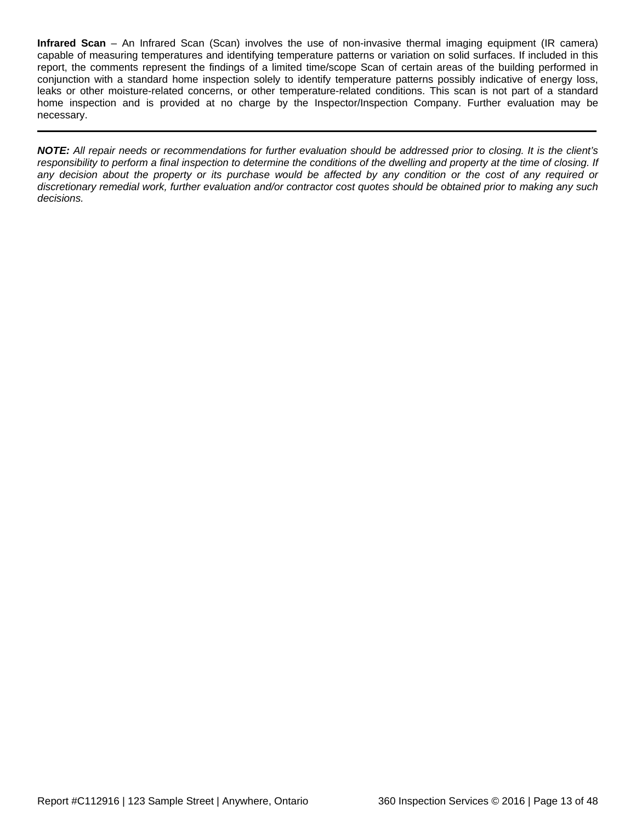**Infrared Scan** – An Infrared Scan (Scan) involves the use of non-invasive thermal imaging equipment (IR camera) capable of measuring temperatures and identifying temperature patterns or variation on solid surfaces. If included in this report, the comments represent the findings of a limited time/scope Scan of certain areas of the building performed in conjunction with a standard home inspection solely to identify temperature patterns possibly indicative of energy loss, leaks or other moisture-related concerns, or other temperature-related conditions. This scan is not part of a standard home inspection and is provided at no charge by the Inspector/Inspection Company. Further evaluation may be necessary.

*NOTE: All repair needs or recommendations for further evaluation should be addressed prior to closing. It is the client's responsibility to perform a final inspection to determine the conditions of the dwelling and property at the time of closing. If any decision about the property or its purchase would be affected by any condition or the cost of any required or discretionary remedial work, further evaluation and/or contractor cost quotes should be obtained prior to making any such decisions.*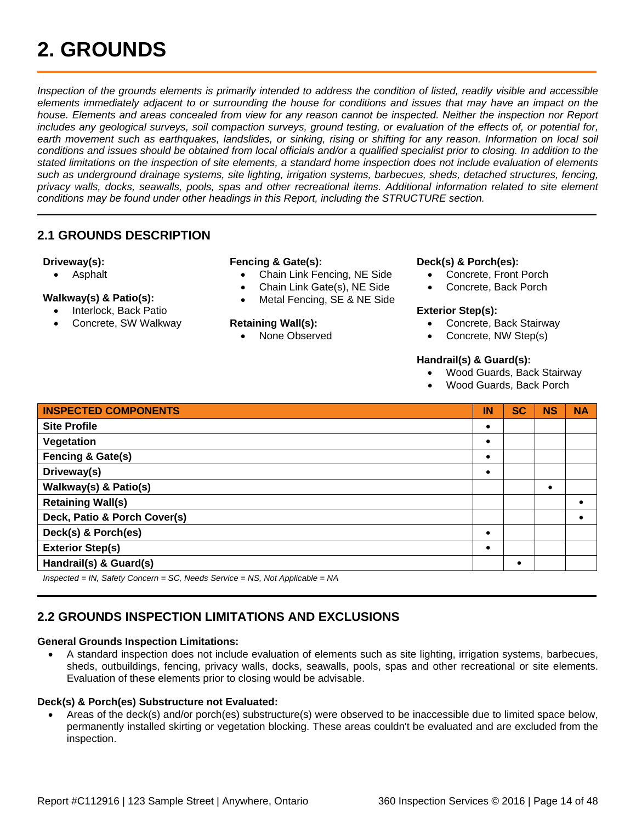## <span id="page-13-0"></span>**2. GROUNDS**

*Inspection of the grounds elements is primarily intended to address the condition of listed, readily visible and accessible*  elements immediately adjacent to or surrounding the house for conditions and issues that may have an impact on the house. Elements and areas concealed from view for any reason cannot be inspected. Neither the inspection nor Report *includes any geological surveys, soil compaction surveys, ground testing, or evaluation of the effects of, or potential for,*  earth movement such as earthquakes, landslides, or sinking, rising or shifting for any reason. Information on local soil *conditions and issues should be obtained from local officials and/or a qualified specialist prior to closing. In addition to the stated limitations on the inspection of site elements, a standard home inspection does not include evaluation of elements such as underground drainage systems, site lighting, irrigation systems, barbecues, sheds, detached structures, fencing, privacy walls, docks, seawalls, pools, spas and other recreational items. Additional information related to site element conditions may be found under other headings in this Report, including the STRUCTURE section.*

### <span id="page-13-1"></span>**2.1 GROUNDS DESCRIPTION**

### **Driveway(s):**

• Asphalt

### **Walkway(s) & Patio(s):**

- Interlock, Back Patio
- Concrete, SW Walkway

### **Fencing & Gate(s):**

- Chain Link Fencing, NE Side
- Chain Link Gate(s), NE Side
- Metal Fencing, SE & NE Side

### **Retaining Wall(s):**

• None Observed

### **Deck(s) & Porch(es):**

- Concrete, Front Porch
- Concrete, Back Porch

#### **Exterior Step(s):**

- Concrete, Back Stairway
- Concrete, NW Step(s)

#### **Handrail(s) & Guard(s):**

- Wood Guards, Back Stairway
- Wood Guards, Back Porch

| <b>INSPECTED COMPONENTS</b>          | IN | <b>SC</b> | <b>NS</b> | <b>NA</b> |
|--------------------------------------|----|-----------|-----------|-----------|
| <b>Site Profile</b>                  |    |           |           |           |
| Vegetation                           |    |           |           |           |
| <b>Fencing &amp; Gate(s)</b>         |    |           |           |           |
| Driveway(s)                          | ٠  |           |           |           |
| Walkway(s) & Patio(s)                |    |           |           |           |
| <b>Retaining Wall(s)</b>             |    |           |           |           |
| Deck, Patio & Porch Cover(s)         |    |           |           |           |
| Deck(s) & Porch(es)                  | ٠  |           |           |           |
| <b>Exterior Step(s)</b>              |    |           |           |           |
| Handrail(s) & Guard(s)               |    |           |           |           |
| $L_{\text{total}} = 1 - \frac{1}{2}$ |    |           |           |           |

*Inspected = IN, Safety Concern = SC, Needs Service = NS, Not Applicable = NA*

### <span id="page-13-2"></span>**2.2 GROUNDS INSPECTION LIMITATIONS AND EXCLUSIONS**

### **General Grounds Inspection Limitations:**

• A standard inspection does not include evaluation of elements such as site lighting, irrigation systems, barbecues, sheds, outbuildings, fencing, privacy walls, docks, seawalls, pools, spas and other recreational or site elements. Evaluation of these elements prior to closing would be advisable.

#### **Deck(s) & Porch(es) Substructure not Evaluated:**

• Areas of the deck(s) and/or porch(es) substructure(s) were observed to be inaccessible due to limited space below, permanently installed skirting or vegetation blocking. These areas couldn't be evaluated and are excluded from the inspection.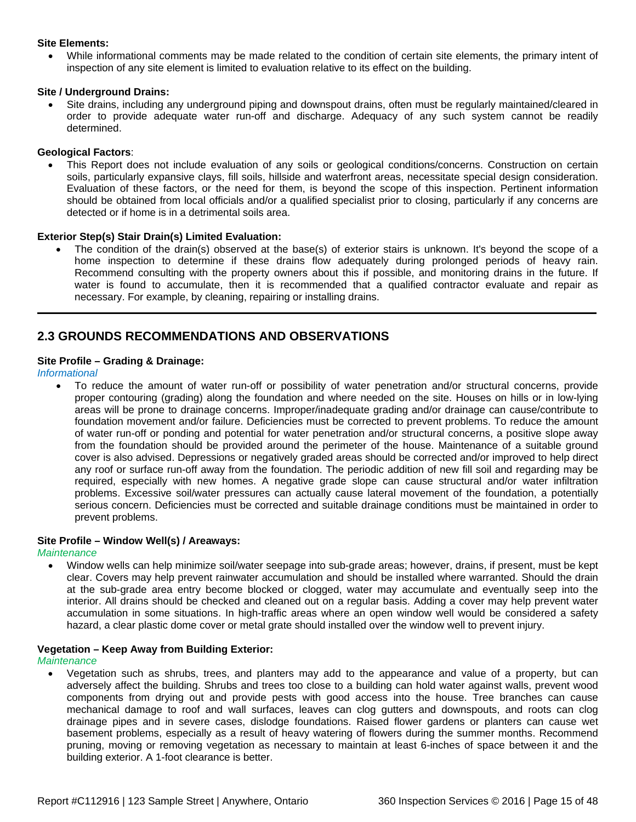### **Site Elements:**

• While informational comments may be made related to the condition of certain site elements, the primary intent of inspection of any site element is limited to evaluation relative to its effect on the building.

### **Site / Underground Drains:**

• Site drains, including any underground piping and downspout drains, often must be regularly maintained/cleared in order to provide adequate water run-off and discharge. Adequacy of any such system cannot be readily determined.

### **Geological Factors**:

• This Report does not include evaluation of any soils or geological conditions/concerns. Construction on certain soils, particularly expansive clays, fill soils, hillside and waterfront areas, necessitate special design consideration. Evaluation of these factors, or the need for them, is beyond the scope of this inspection. Pertinent information should be obtained from local officials and/or a qualified specialist prior to closing, particularly if any concerns are detected or if home is in a detrimental soils area.

### **Exterior Step(s) Stair Drain(s) Limited Evaluation:**

The condition of the drain(s) observed at the base(s) of exterior stairs is unknown. It's beyond the scope of a home inspection to determine if these drains flow adequately during prolonged periods of heavy rain. Recommend consulting with the property owners about this if possible, and monitoring drains in the future. If water is found to accumulate, then it is recommended that a qualified contractor evaluate and repair as necessary. For example, by cleaning, repairing or installing drains.

### <span id="page-14-0"></span>**2.3 GROUNDS RECOMMENDATIONS AND OBSERVATIONS**

### **Site Profile – Grading & Drainage:**

*Informational*

• To reduce the amount of water run-off or possibility of water penetration and/or structural concerns, provide proper contouring (grading) along the foundation and where needed on the site. Houses on hills or in low-lying areas will be prone to drainage concerns. Improper/inadequate grading and/or drainage can cause/contribute to foundation movement and/or failure. Deficiencies must be corrected to prevent problems. To reduce the amount of water run-off or ponding and potential for water penetration and/or structural concerns, a positive slope away from the foundation should be provided around the perimeter of the house. Maintenance of a suitable ground cover is also advised. Depressions or negatively graded areas should be corrected and/or improved to help direct any roof or surface run-off away from the foundation. The periodic addition of new fill soil and regarding may be required, especially with new homes. A negative grade slope can cause structural and/or water infiltration problems. Excessive soil/water pressures can actually cause lateral movement of the foundation, a potentially serious concern. Deficiencies must be corrected and suitable drainage conditions must be maintained in order to prevent problems.

#### **Site Profile – Window Well(s) / Areaways:**

*Maintenance*

• Window wells can help minimize soil/water seepage into sub-grade areas; however, drains, if present, must be kept clear. Covers may help prevent rainwater accumulation and should be installed where warranted. Should the drain at the sub-grade area entry become blocked or clogged, water may accumulate and eventually seep into the interior. All drains should be checked and cleaned out on a regular basis. Adding a cover may help prevent water accumulation in some situations. In high-traffic areas where an open window well would be considered a safety hazard, a clear plastic dome cover or metal grate should installed over the window well to prevent injury.

#### **Vegetation – Keep Away from Building Exterior:**

*Maintenance*

• Vegetation such as shrubs, trees, and planters may add to the appearance and value of a property, but can adversely affect the building. Shrubs and trees too close to a building can hold water against walls, prevent wood components from drying out and provide pests with good access into the house. Tree branches can cause mechanical damage to roof and wall surfaces, leaves can clog gutters and downspouts, and roots can clog drainage pipes and in severe cases, dislodge foundations. Raised flower gardens or planters can cause wet basement problems, especially as a result of heavy watering of flowers during the summer months. Recommend pruning, moving or removing vegetation as necessary to maintain at least 6-inches of space between it and the building exterior. A 1-foot clearance is better.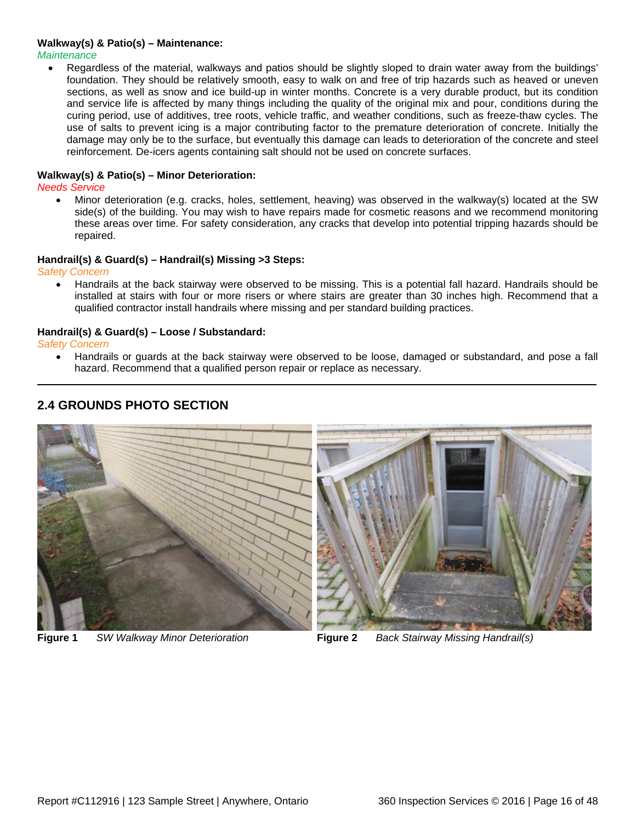### **Walkway(s) & Patio(s) – Maintenance:**

*Maintenance*

Regardless of the material, walkways and patios should be slightly sloped to drain water away from the buildings' foundation. They should be relatively smooth, easy to walk on and free of trip hazards such as heaved or uneven sections, as well as snow and ice build-up in winter months. Concrete is a very durable product, but its condition and service life is affected by many things including the quality of the original mix and pour, conditions during the curing period, use of additives, tree roots, vehicle traffic, and weather conditions, such as freeze-thaw cycles. The use of salts to prevent icing is a major contributing factor to the premature deterioration of concrete. Initially the damage may only be to the surface, but eventually this damage can leads to deterioration of the concrete and steel reinforcement. De-icers agents containing salt should not be used on concrete surfaces.

### **Walkway(s) & Patio(s) – Minor Deterioration:**

*Needs Service*

• Minor deterioration (e.g. cracks, holes, settlement, heaving) was observed in the walkway(s) located at the SW side(s) of the building. You may wish to have repairs made for cosmetic reasons and we recommend monitoring these areas over time. For safety consideration, any cracks that develop into potential tripping hazards should be repaired.

#### **Handrail(s) & Guard(s) – Handrail(s) Missing >3 Steps:**

*Safety Concern*

• Handrails at the back stairway were observed to be missing. This is a potential fall hazard. Handrails should be installed at stairs with four or more risers or where stairs are greater than 30 inches high. Recommend that a qualified contractor install handrails where missing and per standard building practices.

#### **Handrail(s) & Guard(s) – Loose / Substandard:**

*Safety Concern*

• Handrails or guards at the back stairway were observed to be loose, damaged or substandard, and pose a fall hazard. Recommend that a qualified person repair or replace as necessary.



### <span id="page-15-0"></span>**2.4 GROUNDS PHOTO SECTION**

**Figure 1** *SW Walkway Minor Deterioration* **Figure 2** *Back Stairway Missing Handrail(s)*

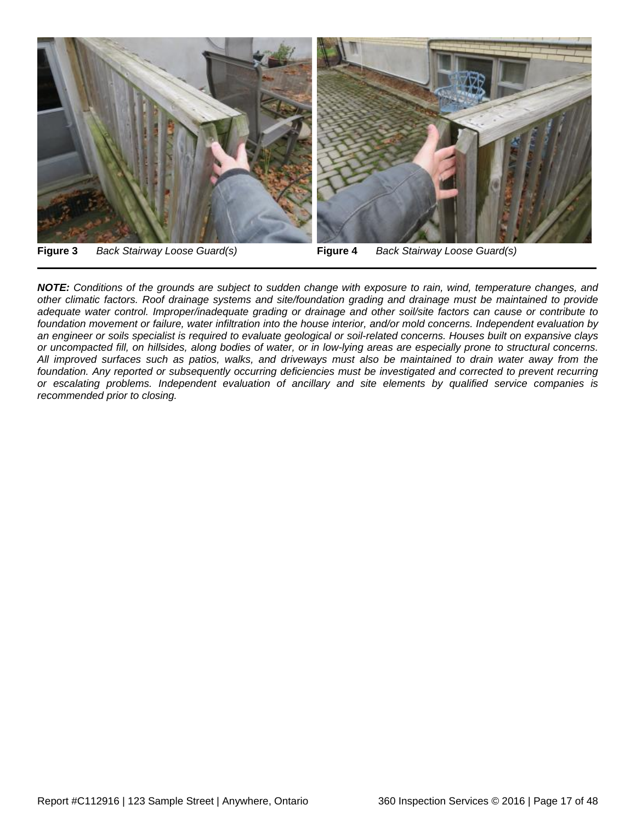

*NOTE: Conditions of the grounds are subject to sudden change with exposure to rain, wind, temperature changes, and other climatic factors. Roof drainage systems and site/foundation grading and drainage must be maintained to provide adequate water control. Improper/inadequate grading or drainage and other soil/site factors can cause or contribute to foundation movement or failure, water infiltration into the house interior, and/or mold concerns. Independent evaluation by an engineer or soils specialist is required to evaluate geological or soil-related concerns. Houses built on expansive clays or uncompacted fill, on hillsides, along bodies of water, or in low-lying areas are especially prone to structural concerns. All improved surfaces such as patios, walks, and driveways must also be maintained to drain water away from the foundation. Any reported or subsequently occurring deficiencies must be investigated and corrected to prevent recurring* 

*or escalating problems. Independent evaluation of ancillary and site elements by qualified service companies is* 

*recommended prior to closing.*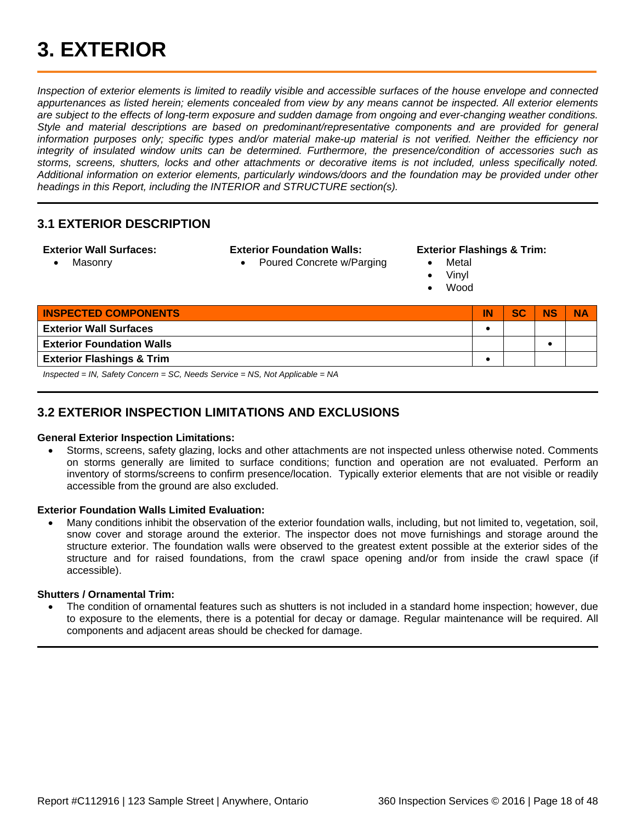<span id="page-17-0"></span>*Inspection of exterior elements is limited to readily visible and accessible surfaces of the house envelope and connected appurtenances as listed herein; elements concealed from view by any means cannot be inspected. All exterior elements are subject to the effects of long-term exposure and sudden damage from ongoing and ever-changing weather conditions. Style and material descriptions are based on predominant/representative components and are provided for general information purposes only; specific types and/or material make-up material is not verified. Neither the efficiency nor integrity of insulated window units can be determined. Furthermore, the presence/condition of accessories such as storms, screens, shutters, locks and other attachments or decorative items is not included, unless specifically noted. Additional information on exterior elements, particularly windows/doors and the foundation may be provided under other headings in this Report, including the INTERIOR and STRUCTURE section(s).*

### <span id="page-17-1"></span>**3.1 EXTERIOR DESCRIPTION**

### **Exterior Wall Surfaces:**

• Masonry

**Exterior Foundation Walls:**

• Poured Concrete w/Parging

#### **Exterior Flashings & Trim:**

- Metal
- Vinyl
- Wood

| <b>INSPECTED COMPONENTS</b>                                        | IN | <b>SC</b> | <b>NS</b> | <b>NA</b> |
|--------------------------------------------------------------------|----|-----------|-----------|-----------|
| <b>Exterior Wall Surfaces</b>                                      |    |           |           |           |
| <b>Exterior Foundation Walls</b>                                   |    |           |           |           |
| <b>Exterior Flashings &amp; Trim</b>                               |    |           |           |           |
| Increased IN Cafety Courses CO Nearly Country NC Net Applicable NA |    |           |           |           |

*Inspected = IN, Safety Concern = SC, Needs Service = NS, Not Applicable = NA*

### <span id="page-17-2"></span>**3.2 EXTERIOR INSPECTION LIMITATIONS AND EXCLUSIONS**

### **General Exterior Inspection Limitations:**

• Storms, screens, safety glazing, locks and other attachments are not inspected unless otherwise noted. Comments on storms generally are limited to surface conditions; function and operation are not evaluated. Perform an inventory of storms/screens to confirm presence/location. Typically exterior elements that are not visible or readily accessible from the ground are also excluded.

### **Exterior Foundation Walls Limited Evaluation:**

• Many conditions inhibit the observation of the exterior foundation walls, including, but not limited to, vegetation, soil, snow cover and storage around the exterior. The inspector does not move furnishings and storage around the structure exterior. The foundation walls were observed to the greatest extent possible at the exterior sides of the structure and for raised foundations, from the crawl space opening and/or from inside the crawl space (if accessible).

### **Shutters / Ornamental Trim:**

• The condition of ornamental features such as shutters is not included in a standard home inspection; however, due to exposure to the elements, there is a potential for decay or damage. Regular maintenance will be required. All components and adjacent areas should be checked for damage.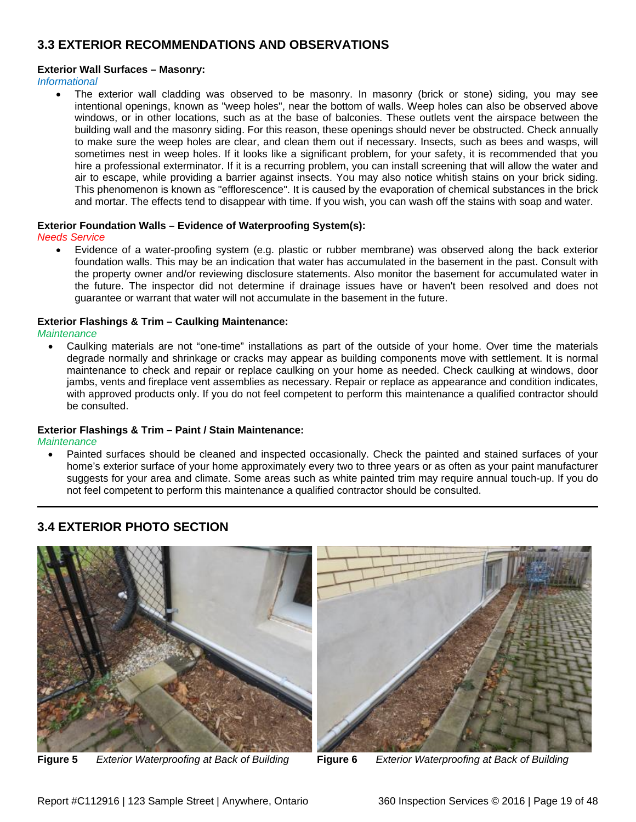### <span id="page-18-0"></span>**3.3 EXTERIOR RECOMMENDATIONS AND OBSERVATIONS**

### **Exterior Wall Surfaces – Masonry:**

*Informational*

The exterior wall cladding was observed to be masonry. In masonry (brick or stone) siding, you may see intentional openings, known as "weep holes", near the bottom of walls. Weep holes can also be observed above windows, or in other locations, such as at the base of balconies. These outlets vent the airspace between the building wall and the masonry siding. For this reason, these openings should never be obstructed. Check annually to make sure the weep holes are clear, and clean them out if necessary. Insects, such as bees and wasps, will sometimes nest in weep holes. If it looks like a significant problem, for your safety, it is recommended that you hire a professional exterminator. If it is a recurring problem, you can install screening that will allow the water and air to escape, while providing a barrier against insects. You may also notice whitish stains on your brick siding. This phenomenon is known as "efflorescence". It is caused by the evaporation of chemical substances in the brick and mortar. The effects tend to disappear with time. If you wish, you can wash off the stains with soap and water.

### **Exterior Foundation Walls – Evidence of Waterproofing System(s):**

#### *Needs Service*

• Evidence of a water-proofing system (e.g. plastic or rubber membrane) was observed along the back exterior foundation walls. This may be an indication that water has accumulated in the basement in the past. Consult with the property owner and/or reviewing disclosure statements. Also monitor the basement for accumulated water in the future. The inspector did not determine if drainage issues have or haven't been resolved and does not guarantee or warrant that water will not accumulate in the basement in the future.

### **Exterior Flashings & Trim – Caulking Maintenance:**

*Maintenance*

• Caulking materials are not "one-time" installations as part of the outside of your home. Over time the materials degrade normally and shrinkage or cracks may appear as building components move with settlement. It is normal maintenance to check and repair or replace caulking on your home as needed. Check caulking at windows, door jambs, vents and fireplace vent assemblies as necessary. Repair or replace as appearance and condition indicates, with approved products only. If you do not feel competent to perform this maintenance a qualified contractor should be consulted.

#### **Exterior Flashings & Trim – Paint / Stain Maintenance:**

*Maintenance*

• Painted surfaces should be cleaned and inspected occasionally. Check the painted and stained surfaces of your home's exterior surface of your home approximately every two to three years or as often as your paint manufacturer suggests for your area and climate. Some areas such as white painted trim may require annual touch-up. If you do not feel competent to perform this maintenance a qualified contractor should be consulted.

### <span id="page-18-1"></span>**3.4 EXTERIOR PHOTO SECTION**



**Figure 5** *Exterior Waterproofing at Back of Building* **Figure 6** *Exterior Waterproofing at Back of Building*

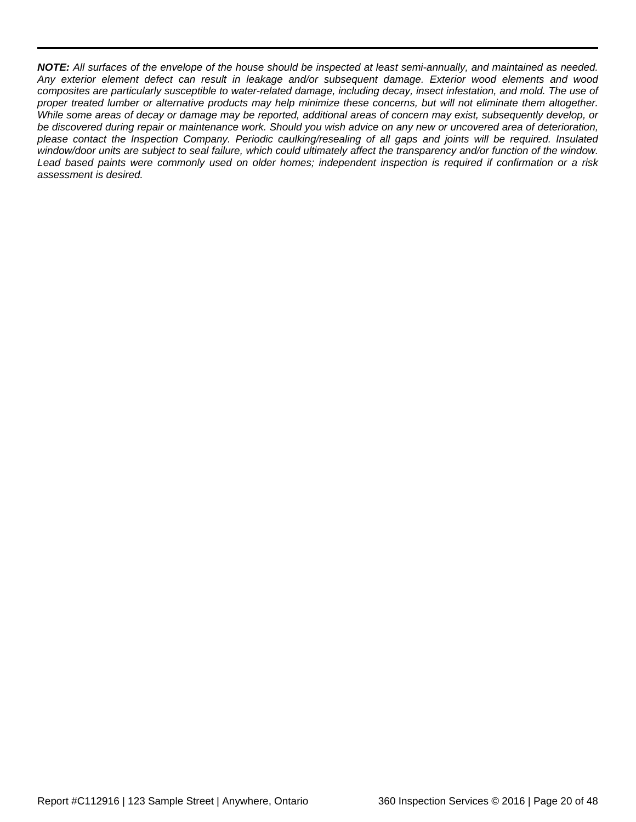*NOTE: All surfaces of the envelope of the house should be inspected at least semi-annually, and maintained as needed. Any exterior element defect can result in leakage and/or subsequent damage. Exterior wood elements and wood composites are particularly susceptible to water-related damage, including decay, insect infestation, and mold. The use of proper treated lumber or alternative products may help minimize these concerns, but will not eliminate them altogether. While some areas of decay or damage may be reported, additional areas of concern may exist, subsequently develop, or be discovered during repair or maintenance work. Should you wish advice on any new or uncovered area of deterioration, please contact the Inspection Company. Periodic caulking/resealing of all gaps and joints will be required. Insulated window/door units are subject to seal failure, which could ultimately affect the transparency and/or function of the window. Lead based paints were commonly used on older homes; independent inspection is required if confirmation or a risk assessment is desired.*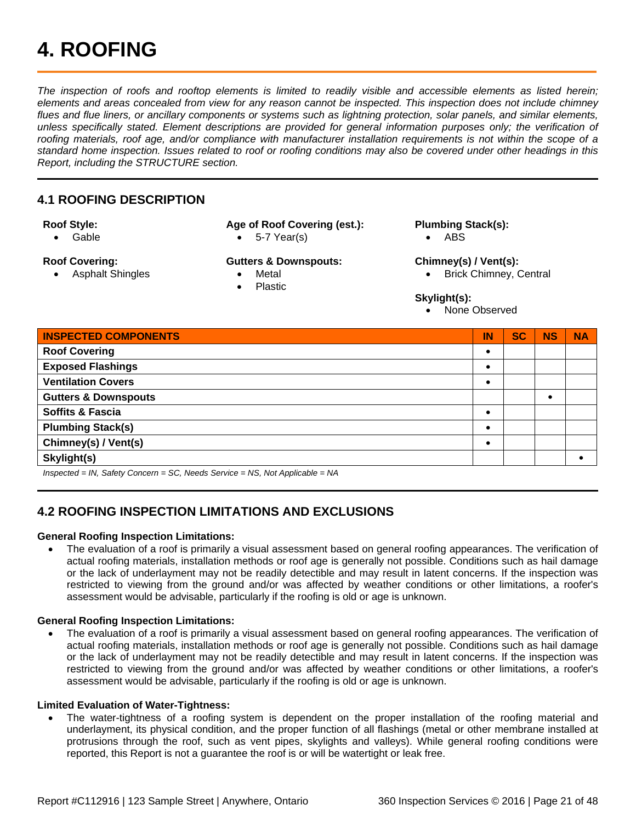## <span id="page-20-0"></span>**4. ROOFING**

*The inspection of roofs and rooftop elements is limited to readily visible and accessible elements as listed herein;*  elements and areas concealed from view for any reason cannot be inspected. This inspection does not include chimney *flues and flue liners, or ancillary components or systems such as lightning protection, solar panels, and similar elements, unless specifically stated. Element descriptions are provided for general information purposes only; the verification of roofing materials, roof age, and/or compliance with manufacturer installation requirements is not within the scope of a standard home inspection. Issues related to roof or roofing conditions may also be covered under other headings in this Report, including the STRUCTURE section.*

### <span id="page-20-1"></span>**4.1 ROOFING DESCRIPTION**

#### **Roof Style:**

• Gable

### **Roof Covering:**

• Asphalt Shingles

### **Age of Roof Covering (est.):**

• 5-7 Year(s)

### **Gutters & Downspouts:**

- **Metal** 
	- Plastic

### **Plumbing Stack(s):**

• ABS

### **Chimney(s) / Vent(s):**

• Brick Chimney, Central

### **Skylight(s):**

• None Observed

| <b>INSPECTED COMPONENTS</b>     | IN        | <b>SC</b> | <b>NS</b> | <b>NA</b> |
|---------------------------------|-----------|-----------|-----------|-----------|
| <b>Roof Covering</b>            | $\bullet$ |           |           |           |
| <b>Exposed Flashings</b>        | $\bullet$ |           |           |           |
| <b>Ventilation Covers</b>       | $\bullet$ |           |           |           |
| <b>Gutters &amp; Downspouts</b> |           |           |           |           |
| <b>Soffits &amp; Fascia</b>     | $\bullet$ |           |           |           |
| <b>Plumbing Stack(s)</b>        |           |           |           |           |
| Chimney(s) / Vent(s)            |           |           |           |           |
| Skylight(s)                     |           |           |           |           |

*Inspected = IN, Safety Concern = SC, Needs Service = NS, Not Applicable = NA*

### <span id="page-20-2"></span>**4.2 ROOFING INSPECTION LIMITATIONS AND EXCLUSIONS**

### **General Roofing Inspection Limitations:**

• The evaluation of a roof is primarily a visual assessment based on general roofing appearances. The verification of actual roofing materials, installation methods or roof age is generally not possible. Conditions such as hail damage or the lack of underlayment may not be readily detectible and may result in latent concerns. If the inspection was restricted to viewing from the ground and/or was affected by weather conditions or other limitations, a roofer's assessment would be advisable, particularly if the roofing is old or age is unknown.

### **General Roofing Inspection Limitations:**

• The evaluation of a roof is primarily a visual assessment based on general roofing appearances. The verification of actual roofing materials, installation methods or roof age is generally not possible. Conditions such as hail damage or the lack of underlayment may not be readily detectible and may result in latent concerns. If the inspection was restricted to viewing from the ground and/or was affected by weather conditions or other limitations, a roofer's assessment would be advisable, particularly if the roofing is old or age is unknown.

### **Limited Evaluation of Water-Tightness:**

• The water-tightness of a roofing system is dependent on the proper installation of the roofing material and underlayment, its physical condition, and the proper function of all flashings (metal or other membrane installed at protrusions through the roof, such as vent pipes, skylights and valleys). While general roofing conditions were reported, this Report is not a guarantee the roof is or will be watertight or leak free.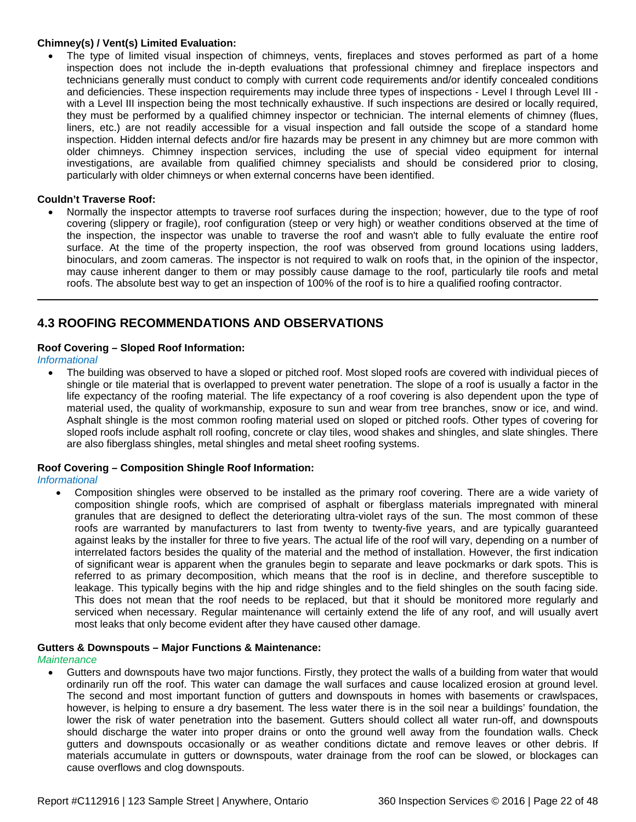### **Chimney(s) / Vent(s) Limited Evaluation:**

• The type of limited visual inspection of chimneys, vents, fireplaces and stoves performed as part of a home inspection does not include the in-depth evaluations that professional chimney and fireplace inspectors and technicians generally must conduct to comply with current code requirements and/or identify concealed conditions and deficiencies. These inspection requirements may include three types of inspections - Level I through Level III with a Level III inspection being the most technically exhaustive. If such inspections are desired or locally required, they must be performed by a qualified chimney inspector or technician. The internal elements of chimney (flues, liners, etc.) are not readily accessible for a visual inspection and fall outside the scope of a standard home inspection. Hidden internal defects and/or fire hazards may be present in any chimney but are more common with older chimneys. Chimney inspection services, including the use of special video equipment for internal investigations, are available from qualified chimney specialists and should be considered prior to closing, particularly with older chimneys or when external concerns have been identified.

### **Couldn't Traverse Roof:**

• Normally the inspector attempts to traverse roof surfaces during the inspection; however, due to the type of roof covering (slippery or fragile), roof configuration (steep or very high) or weather conditions observed at the time of the inspection, the inspector was unable to traverse the roof and wasn't able to fully evaluate the entire roof surface. At the time of the property inspection, the roof was observed from ground locations using ladders, binoculars, and zoom cameras. The inspector is not required to walk on roofs that, in the opinion of the inspector, may cause inherent danger to them or may possibly cause damage to the roof, particularly tile roofs and metal roofs. The absolute best way to get an inspection of 100% of the roof is to hire a qualified roofing contractor.

### <span id="page-21-0"></span>**4.3 ROOFING RECOMMENDATIONS AND OBSERVATIONS**

### **Roof Covering – Sloped Roof Information:**

*Informational*

• The building was observed to have a sloped or pitched roof. Most sloped roofs are covered with individual pieces of shingle or tile material that is overlapped to prevent water penetration. The slope of a roof is usually a factor in the life expectancy of the roofing material. The life expectancy of a roof covering is also dependent upon the type of material used, the quality of workmanship, exposure to sun and wear from tree branches, snow or ice, and wind. Asphalt shingle is the most common roofing material used on sloped or pitched roofs. Other types of covering for sloped roofs include asphalt roll roofing, concrete or clay tiles, wood shakes and shingles, and slate shingles. There are also fiberglass shingles, metal shingles and metal sheet roofing systems.

#### **Roof Covering – Composition Shingle Roof Information:**

#### *Informational*

• Composition shingles were observed to be installed as the primary roof covering. There are a wide variety of composition shingle roofs, which are comprised of asphalt or fiberglass materials impregnated with mineral granules that are designed to deflect the deteriorating ultra-violet rays of the sun. The most common of these roofs are warranted by manufacturers to last from twenty to twenty-five years, and are typically guaranteed against leaks by the installer for three to five years. The actual life of the roof will vary, depending on a number of interrelated factors besides the quality of the material and the method of installation. However, the first indication of significant wear is apparent when the granules begin to separate and leave pockmarks or dark spots. This is referred to as primary decomposition, which means that the roof is in decline, and therefore susceptible to leakage. This typically begins with the hip and ridge shingles and to the field shingles on the south facing side. This does not mean that the roof needs to be replaced, but that it should be monitored more regularly and serviced when necessary. Regular maintenance will certainly extend the life of any roof, and will usually avert most leaks that only become evident after they have caused other damage.

#### **Gutters & Downspouts – Major Functions & Maintenance:**

*Maintenance*

• Gutters and downspouts have two major functions. Firstly, they protect the walls of a building from water that would ordinarily run off the roof. This water can damage the wall surfaces and cause localized erosion at ground level. The second and most important function of gutters and downspouts in homes with basements or crawlspaces, however, is helping to ensure a dry basement. The less water there is in the soil near a buildings' foundation, the lower the risk of water penetration into the basement. Gutters should collect all water run-off, and downspouts should discharge the water into proper drains or onto the ground well away from the foundation walls. Check gutters and downspouts occasionally or as weather conditions dictate and remove leaves or other debris. If materials accumulate in gutters or downspouts, water drainage from the roof can be slowed, or blockages can cause overflows and clog downspouts.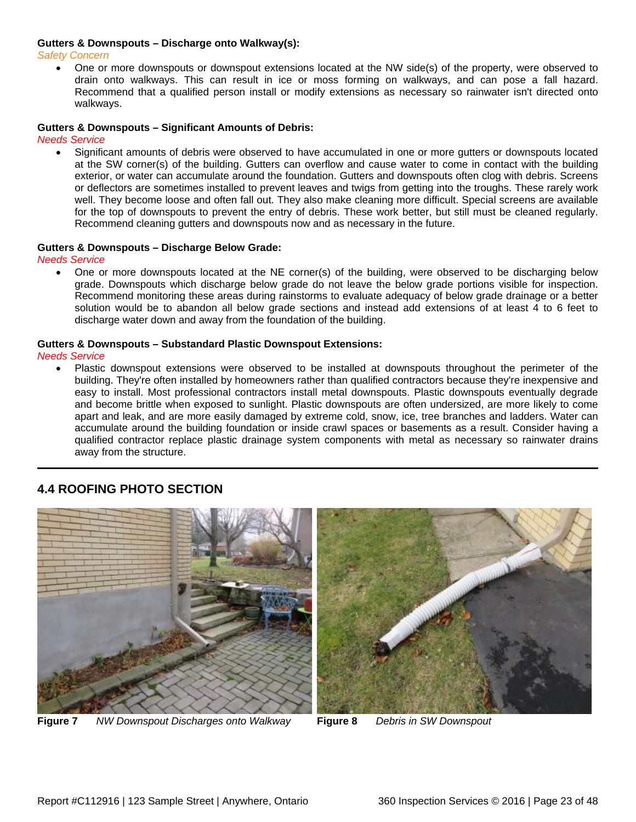#### **Gutters & Downspouts – Discharge onto Walkway(s):**

#### *Safety Concern*

• One or more downspouts or downspout extensions located at the NW side(s) of the property, were observed to drain onto walkways. This can result in ice or moss forming on walkways, and can pose a fall hazard. Recommend that a qualified person install or modify extensions as necessary so rainwater isn't directed onto walkways.

#### **Gutters & Downspouts – Significant Amounts of Debris:**

*Needs Service*

• Significant amounts of debris were observed to have accumulated in one or more gutters or downspouts located at the SW corner(s) of the building. Gutters can overflow and cause water to come in contact with the building exterior, or water can accumulate around the foundation. Gutters and downspouts often clog with debris. Screens or deflectors are sometimes installed to prevent leaves and twigs from getting into the troughs. These rarely work well. They become loose and often fall out. They also make cleaning more difficult. Special screens are available for the top of downspouts to prevent the entry of debris. These work better, but still must be cleaned regularly. Recommend cleaning gutters and downspouts now and as necessary in the future.

#### **Gutters & Downspouts – Discharge Below Grade:**

*Needs Service*

• One or more downspouts located at the NE corner(s) of the building, were observed to be discharging below grade. Downspouts which discharge below grade do not leave the below grade portions visible for inspection. Recommend monitoring these areas during rainstorms to evaluate adequacy of below grade drainage or a better solution would be to abandon all below grade sections and instead add extensions of at least 4 to 6 feet to discharge water down and away from the foundation of the building.

#### **Gutters & Downspouts – Substandard Plastic Downspout Extensions:**

*Needs Service*

• Plastic downspout extensions were observed to be installed at downspouts throughout the perimeter of the building. They're often installed by homeowners rather than qualified contractors because they're inexpensive and easy to install. Most professional contractors install metal downspouts. Plastic downspouts eventually degrade and become brittle when exposed to sunlight. Plastic downspouts are often undersized, are more likely to come apart and leak, and are more easily damaged by extreme cold, snow, ice, tree branches and ladders. Water can accumulate around the building foundation or inside crawl spaces or basements as a result. Consider having a qualified contractor replace plastic drainage system components with metal as necessary so rainwater drains away from the structure.

### <span id="page-22-0"></span>**4.4 ROOFING PHOTO SECTION**



**Figure 7** *NW Downspout Discharges onto Walkway* **Figure 8** *Debris in SW Downspout*

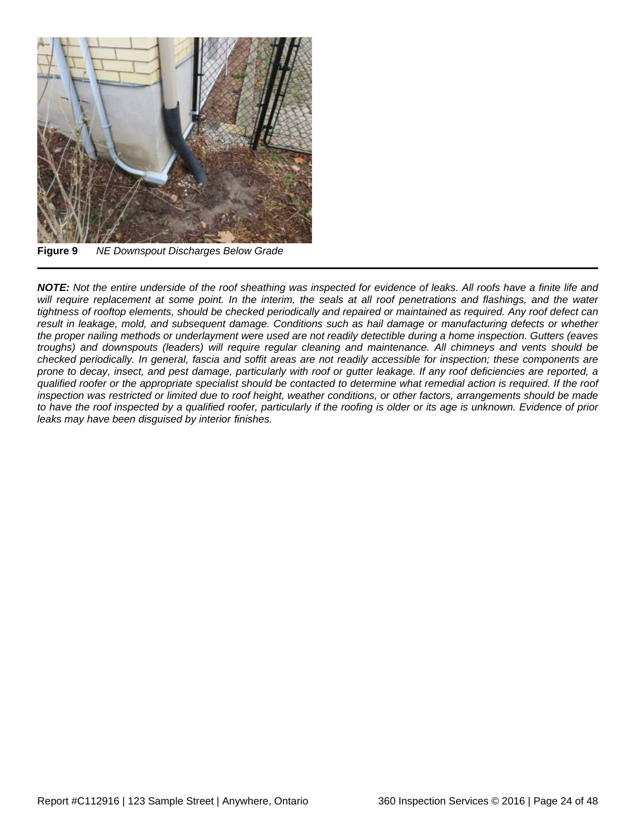

**Figure 9** *NE Downspout Discharges Below Grade*

*NOTE: Not the entire underside of the roof sheathing was inspected for evidence of leaks. All roofs have a finite life and will require replacement at some point. In the interim, the seals at all roof penetrations and flashings, and the water tightness of rooftop elements, should be checked periodically and repaired or maintained as required. Any roof defect can result in leakage, mold, and subsequent damage. Conditions such as hail damage or manufacturing defects or whether the proper nailing methods or underlayment were used are not readily detectible during a home inspection. Gutters (eaves troughs) and downspouts (leaders) will require regular cleaning and maintenance. All chimneys and vents should be checked periodically. In general, fascia and soffit areas are not readily accessible for inspection; these components are prone to decay, insect, and pest damage, particularly with roof or gutter leakage. If any roof deficiencies are reported, a qualified roofer or the appropriate specialist should be contacted to determine what remedial action is required. If the roof inspection was restricted or limited due to roof height, weather conditions, or other factors, arrangements should be made to have the roof inspected by a qualified roofer, particularly if the roofing is older or its age is unknown. Evidence of prior leaks may have been disguised by interior finishes.*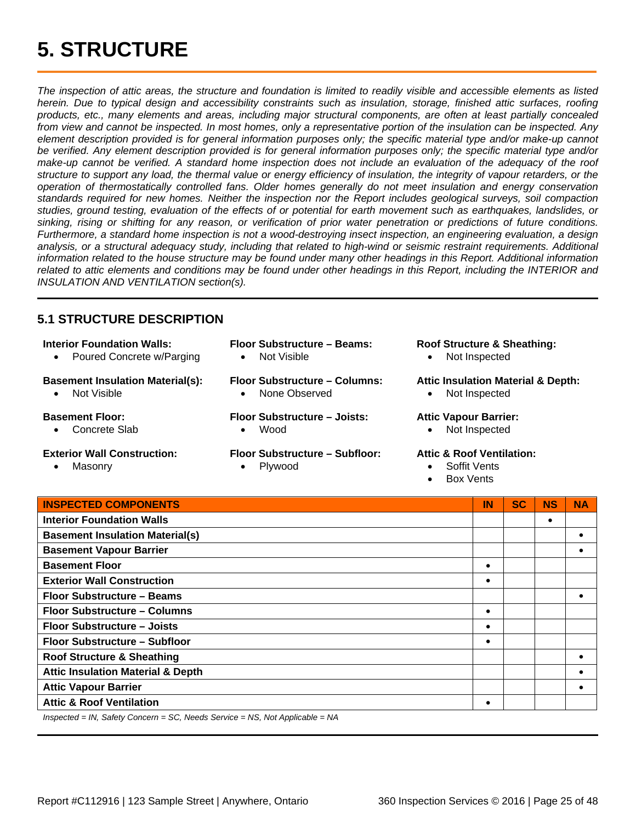<span id="page-24-0"></span>*The inspection of attic areas, the structure and foundation is limited to readily visible and accessible elements as listed herein. Due to typical design and accessibility constraints such as insulation, storage, finished attic surfaces, roofing products, etc., many elements and areas, including major structural components, are often at least partially concealed from view and cannot be inspected. In most homes, only a representative portion of the insulation can be inspected. Any element description provided is for general information purposes only; the specific material type and/or make-up cannot be verified. Any element description provided is for general information purposes only; the specific material type and/or make-up cannot be verified. A standard home inspection does not include an evaluation of the adequacy of the roof structure to support any load, the thermal value or energy efficiency of insulation, the integrity of vapour retarders, or the operation of thermostatically controlled fans. Older homes generally do not meet insulation and energy conservation standards required for new homes. Neither the inspection nor the Report includes geological surveys, soil compaction studies, ground testing, evaluation of the effects of or potential for earth movement such as earthquakes, landslides, or sinking, rising or shifting for any reason, or verification of prior water penetration or predictions of future conditions. Furthermore, a standard home inspection is not a wood-destroying insect inspection, an engineering evaluation, a design*  analysis, or a structural adequacy study, including that related to high-wind or seismic restraint requirements. Additional *information related to the house structure may be found under many other headings in this Report. Additional information related to attic elements and conditions may be found under other headings in this Report, including the INTERIOR and INSULATION AND VENTILATION section(s).*

### <span id="page-24-1"></span>**5.1 STRUCTURE DESCRIPTION**

#### **Interior Foundation Walls:**

• Poured Concrete w/Parging

#### **Basement Insulation Material(s):**

• Not Visible

#### **Basement Floor:**

• Concrete Slab

#### **Exterior Wall Construction:**

• Masonry

**Floor Substructure – Beams:** • Not Visible

**Floor Substructure – Columns:** • None Observed

### **Floor Substructure – Joists:**

• Wood

### **Floor Substructure – Subfloor:**

• Plywood

### **Roof Structure & Sheathing:**

• Not Inspected

### **Attic Insulation Material & Depth:**

• Not Inspected

### **Attic Vapour Barrier:**

• Not Inspected

### **Attic & Roof Ventilation:**

- Soffit Vents
- Box Vents

| <b>INSPECTED COMPONENTS</b>                                                   | IN | <b>SC</b> | <b>NS</b> | <b>NA</b> |
|-------------------------------------------------------------------------------|----|-----------|-----------|-----------|
| <b>Interior Foundation Walls</b>                                              |    |           | $\bullet$ |           |
| <b>Basement Insulation Material(s)</b>                                        |    |           |           |           |
| <b>Basement Vapour Barrier</b>                                                |    |           |           |           |
| <b>Basement Floor</b>                                                         |    |           |           |           |
| <b>Exterior Wall Construction</b>                                             |    |           |           |           |
| Floor Substructure - Beams                                                    |    |           |           |           |
| Floor Substructure - Columns                                                  |    |           |           |           |
| Floor Substructure - Joists                                                   |    |           |           |           |
| Floor Substructure - Subfloor                                                 |    |           |           |           |
| <b>Roof Structure &amp; Sheathing</b>                                         |    |           |           |           |
| <b>Attic Insulation Material &amp; Depth</b>                                  |    |           |           |           |
| <b>Attic Vapour Barrier</b>                                                   |    |           |           |           |
| <b>Attic &amp; Roof Ventilation</b>                                           |    |           |           |           |
| $Insperted = IN$ Safety Concern = SC, Needs Senvice = NS, Not Applicable = NA |    |           |           |           |

*Inspected = IN, Safety Concern = SC, Needs Service = NS, Not Applicable = NA*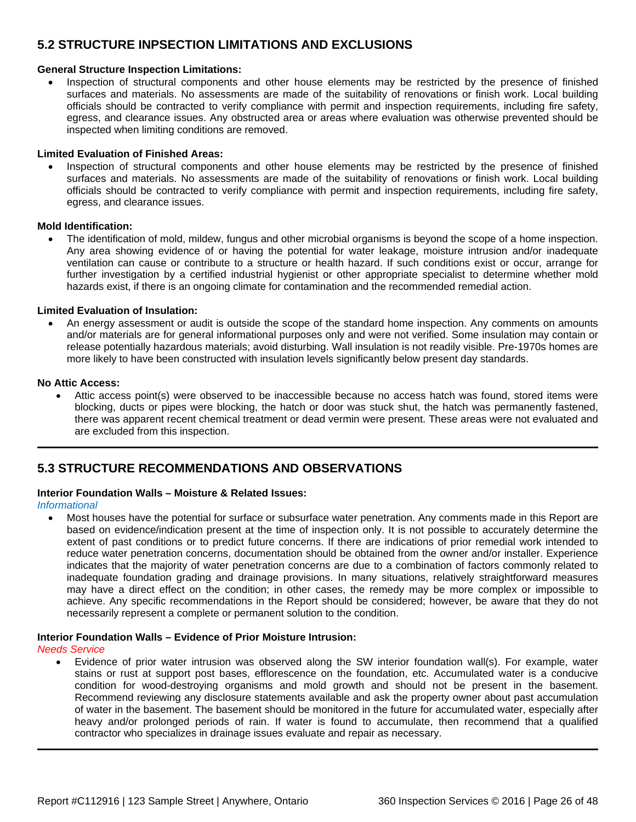### <span id="page-25-0"></span>**5.2 STRUCTURE INPSECTION LIMITATIONS AND EXCLUSIONS**

### **General Structure Inspection Limitations:**

• Inspection of structural components and other house elements may be restricted by the presence of finished surfaces and materials. No assessments are made of the suitability of renovations or finish work. Local building officials should be contracted to verify compliance with permit and inspection requirements, including fire safety, egress, and clearance issues. Any obstructed area or areas where evaluation was otherwise prevented should be inspected when limiting conditions are removed.

### **Limited Evaluation of Finished Areas:**

• Inspection of structural components and other house elements may be restricted by the presence of finished surfaces and materials. No assessments are made of the suitability of renovations or finish work. Local building officials should be contracted to verify compliance with permit and inspection requirements, including fire safety, egress, and clearance issues.

### **Mold Identification:**

• The identification of mold, mildew, fungus and other microbial organisms is beyond the scope of a home inspection. Any area showing evidence of or having the potential for water leakage, moisture intrusion and/or inadequate ventilation can cause or contribute to a structure or health hazard. If such conditions exist or occur, arrange for further investigation by a certified industrial hygienist or other appropriate specialist to determine whether mold hazards exist, if there is an ongoing climate for contamination and the recommended remedial action.

### **Limited Evaluation of Insulation:**

• An energy assessment or audit is outside the scope of the standard home inspection. Any comments on amounts and/or materials are for general informational purposes only and were not verified. Some insulation may contain or release potentially hazardous materials; avoid disturbing. Wall insulation is not readily visible. Pre-1970s homes are more likely to have been constructed with insulation levels significantly below present day standards.

### **No Attic Access:**

• Attic access point(s) were observed to be inaccessible because no access hatch was found, stored items were blocking, ducts or pipes were blocking, the hatch or door was stuck shut, the hatch was permanently fastened, there was apparent recent chemical treatment or dead vermin were present. These areas were not evaluated and are excluded from this inspection.

### <span id="page-25-1"></span>**5.3 STRUCTURE RECOMMENDATIONS AND OBSERVATIONS**

### **Interior Foundation Walls – Moisture & Related Issues:**

*Informational*

• Most houses have the potential for surface or subsurface water penetration. Any comments made in this Report are based on evidence/indication present at the time of inspection only. It is not possible to accurately determine the extent of past conditions or to predict future concerns. If there are indications of prior remedial work intended to reduce water penetration concerns, documentation should be obtained from the owner and/or installer. Experience indicates that the majority of water penetration concerns are due to a combination of factors commonly related to inadequate foundation grading and drainage provisions. In many situations, relatively straightforward measures may have a direct effect on the condition; in other cases, the remedy may be more complex or impossible to achieve. Any specific recommendations in the Report should be considered; however, be aware that they do not necessarily represent a complete or permanent solution to the condition.

### **Interior Foundation Walls – Evidence of Prior Moisture Intrusion:**

#### *Needs Service*

• Evidence of prior water intrusion was observed along the SW interior foundation wall(s). For example, water stains or rust at support post bases, efflorescence on the foundation, etc. Accumulated water is a conducive condition for wood-destroying organisms and mold growth and should not be present in the basement. Recommend reviewing any disclosure statements available and ask the property owner about past accumulation of water in the basement. The basement should be monitored in the future for accumulated water, especially after heavy and/or prolonged periods of rain. If water is found to accumulate, then recommend that a qualified contractor who specializes in drainage issues evaluate and repair as necessary.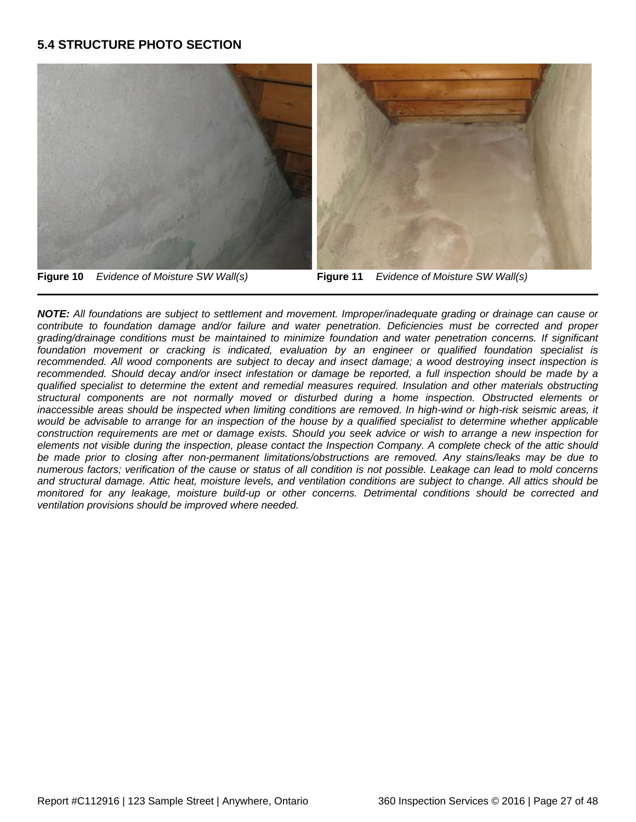### <span id="page-26-0"></span>**5.4 STRUCTURE PHOTO SECTION**



*NOTE: All foundations are subject to settlement and movement. Improper/inadequate grading or drainage can cause or contribute to foundation damage and/or failure and water penetration. Deficiencies must be corrected and proper grading/drainage conditions must be maintained to minimize foundation and water penetration concerns. If significant foundation movement or cracking is indicated, evaluation by an engineer or qualified foundation specialist is recommended. All wood components are subject to decay and insect damage; a wood destroying insect inspection is*  recommended. Should decay and/or insect infestation or damage be reported, a full inspection should be made by a *qualified specialist to determine the extent and remedial measures required. Insulation and other materials obstructing structural components are not normally moved or disturbed during a home inspection. Obstructed elements or inaccessible areas should be inspected when limiting conditions are removed. In high-wind or high-risk seismic areas, it*  would be advisable to arrange for an inspection of the house by a qualified specialist to determine whether applicable *construction requirements are met or damage exists. Should you seek advice or wish to arrange a new inspection for elements not visible during the inspection, please contact the Inspection Company. A complete check of the attic should be made prior to closing after non-permanent limitations/obstructions are removed. Any stains/leaks may be due to numerous factors; verification of the cause or status of all condition is not possible. Leakage can lead to mold concerns and structural damage. Attic heat, moisture levels, and ventilation conditions are subject to change. All attics should be monitored for any leakage, moisture build-up or other concerns. Detrimental conditions should be corrected and ventilation provisions should be improved where needed.*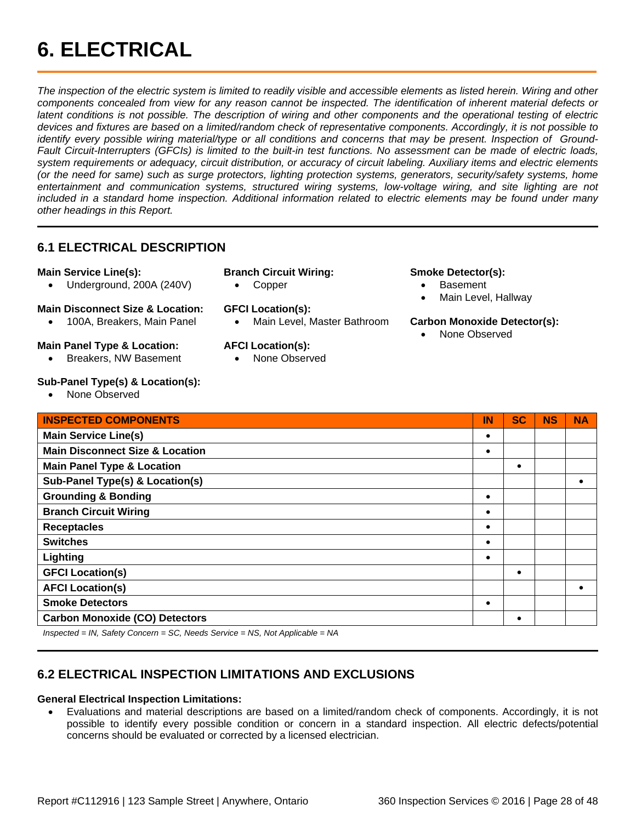## <span id="page-27-0"></span>**6. ELECTRICAL**

*The inspection of the electric system is limited to readily visible and accessible elements as listed herein. Wiring and other components concealed from view for any reason cannot be inspected. The identification of inherent material defects or latent conditions is not possible. The description of wiring and other components and the operational testing of electric devices and fixtures are based on a limited/random check of representative components. Accordingly, it is not possible to identify every possible wiring material/type or all conditions and concerns that may be present. Inspection of Ground-Fault Circuit-Interrupters (GFCIs) is limited to the built-in test functions. No assessment can be made of electric loads, system requirements or adequacy, circuit distribution, or accuracy of circuit labeling. Auxiliary items and electric elements (or the need for same) such as surge protectors, lighting protection systems, generators, security/safety systems, home entertainment and communication systems, structured wiring systems, low-voltage wiring, and site lighting are not included in a standard home inspection. Additional information related to electric elements may be found under many other headings in this Report.*

### <span id="page-27-1"></span>**6.1 ELECTRICAL DESCRIPTION**

### **Main Service Line(s):**

• Underground, 200A (240V)

### **Main Disconnect Size & Location:**

• 100A, Breakers, Main Panel

### **Main Panel Type & Location:**

• Breakers, NW Basement

### **Sub-Panel Type(s) & Location(s):**

• None Observed

### **Branch Circuit Wiring:**

• Copper

### **GFCI Location(s):**

• Main Level, Master Bathroom

### **AFCI Location(s):**

None Observed

### **Smoke Detector(s):**

- Basement
- Main Level, Hallway

### **Carbon Monoxide Detector(s):**

• None Observed

| <b>INSPECTED COMPONENTS</b>                | IN | <b>SC</b> | <b>NS</b> | <b>NA</b> |
|--------------------------------------------|----|-----------|-----------|-----------|
| <b>Main Service Line(s)</b>                |    |           |           |           |
| <b>Main Disconnect Size &amp; Location</b> | ٠  |           |           |           |
| <b>Main Panel Type &amp; Location</b>      |    |           |           |           |
| Sub-Panel Type(s) & Location(s)            |    |           |           | $\bullet$ |
| <b>Grounding &amp; Bonding</b>             |    |           |           |           |
| <b>Branch Circuit Wiring</b>               |    |           |           |           |
| <b>Receptacles</b>                         |    |           |           |           |
| <b>Switches</b>                            |    |           |           |           |
| Lighting                                   |    |           |           |           |
| <b>GFCI Location(s)</b>                    |    | $\bullet$ |           |           |
| <b>AFCI Location(s)</b>                    |    |           |           |           |
| <b>Smoke Detectors</b>                     |    |           |           |           |
| <b>Carbon Monoxide (CO) Detectors</b>      |    |           |           |           |

*Inspected = IN, Safety Concern = SC, Needs Service = NS, Not Applicable = NA*

### <span id="page-27-2"></span>**6.2 ELECTRICAL INSPECTION LIMITATIONS AND EXCLUSIONS**

### **General Electrical Inspection Limitations:**

• Evaluations and material descriptions are based on a limited/random check of components. Accordingly, it is not possible to identify every possible condition or concern in a standard inspection. All electric defects/potential concerns should be evaluated or corrected by a licensed electrician.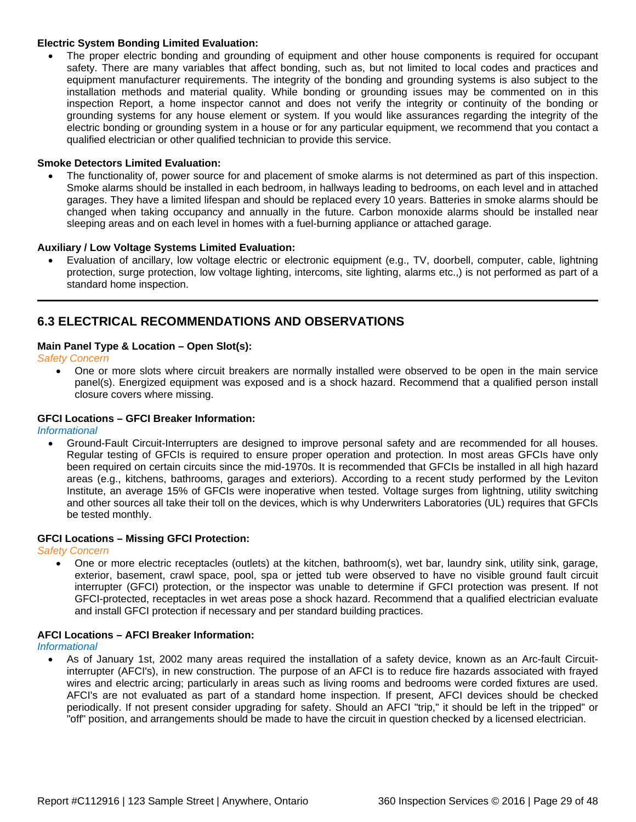### **Electric System Bonding Limited Evaluation:**

The proper electric bonding and grounding of equipment and other house components is required for occupant safety. There are many variables that affect bonding, such as, but not limited to local codes and practices and equipment manufacturer requirements. The integrity of the bonding and grounding systems is also subject to the installation methods and material quality. While bonding or grounding issues may be commented on in this inspection Report, a home inspector cannot and does not verify the integrity or continuity of the bonding or grounding systems for any house element or system. If you would like assurances regarding the integrity of the electric bonding or grounding system in a house or for any particular equipment, we recommend that you contact a qualified electrician or other qualified technician to provide this service.

### **Smoke Detectors Limited Evaluation:**

• The functionality of, power source for and placement of smoke alarms is not determined as part of this inspection. Smoke alarms should be installed in each bedroom, in hallways leading to bedrooms, on each level and in attached garages. They have a limited lifespan and should be replaced every 10 years. Batteries in smoke alarms should be changed when taking occupancy and annually in the future. Carbon monoxide alarms should be installed near sleeping areas and on each level in homes with a fuel-burning appliance or attached garage.

#### **Auxiliary / Low Voltage Systems Limited Evaluation:**

• Evaluation of ancillary, low voltage electric or electronic equipment (e.g., TV, doorbell, computer, cable, lightning protection, surge protection, low voltage lighting, intercoms, site lighting, alarms etc.,) is not performed as part of a standard home inspection.

### <span id="page-28-0"></span>**6.3 ELECTRICAL RECOMMENDATIONS AND OBSERVATIONS**

### **Main Panel Type & Location – Open Slot(s):**

*Safety Concern*

• One or more slots where circuit breakers are normally installed were observed to be open in the main service panel(s). Energized equipment was exposed and is a shock hazard. Recommend that a qualified person install closure covers where missing.

#### **GFCI Locations – GFCI Breaker Information:**

*Informational*

• Ground-Fault Circuit-Interrupters are designed to improve personal safety and are recommended for all houses. Regular testing of GFCIs is required to ensure proper operation and protection. In most areas GFCIs have only been required on certain circuits since the mid-1970s. It is recommended that GFCIs be installed in all high hazard areas (e.g., kitchens, bathrooms, garages and exteriors). According to a recent study performed by the Leviton Institute, an average 15% of GFCIs were inoperative when tested. Voltage surges from lightning, utility switching and other sources all take their toll on the devices, which is why Underwriters Laboratories (UL) requires that GFCIs be tested monthly.

#### **GFCI Locations – Missing GFCI Protection:**

*Safety Concern*

• One or more electric receptacles (outlets) at the kitchen, bathroom(s), wet bar, laundry sink, utility sink, garage, exterior, basement, crawl space, pool, spa or jetted tub were observed to have no visible ground fault circuit interrupter (GFCI) protection, or the inspector was unable to determine if GFCI protection was present. If not GFCI-protected, receptacles in wet areas pose a shock hazard. Recommend that a qualified electrician evaluate and install GFCI protection if necessary and per standard building practices.

#### **AFCI Locations – AFCI Breaker Information:**

*Informational*

• As of January 1st, 2002 many areas required the installation of a safety device, known as an Arc-fault Circuitinterrupter (AFCI's), in new construction. The purpose of an AFCI is to reduce fire hazards associated with frayed wires and electric arcing; particularly in areas such as living rooms and bedrooms were corded fixtures are used. AFCI's are not evaluated as part of a standard home inspection. If present, AFCI devices should be checked periodically. If not present consider upgrading for safety. Should an AFCI "trip," it should be left in the tripped" or "off" position, and arrangements should be made to have the circuit in question checked by a licensed electrician.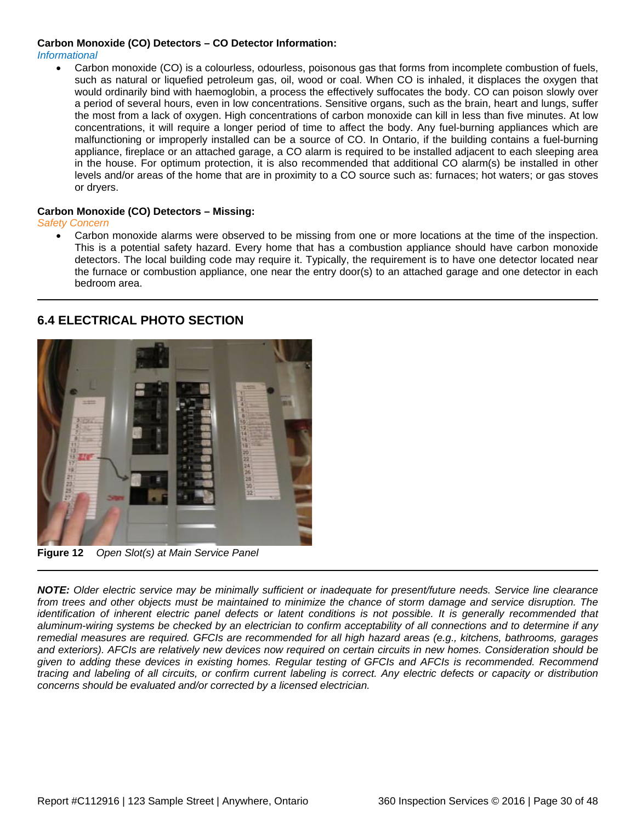### **Carbon Monoxide (CO) Detectors – CO Detector Information:**

### *Informational*

• Carbon monoxide (CO) is a colourless, odourless, poisonous gas that forms from incomplete combustion of fuels, such as natural or liquefied petroleum gas, oil, wood or coal. When CO is inhaled, it displaces the oxygen that would ordinarily bind with haemoglobin, a process the effectively suffocates the body. CO can poison slowly over a period of several hours, even in low concentrations. Sensitive organs, such as the brain, heart and lungs, suffer the most from a lack of oxygen. High concentrations of carbon monoxide can kill in less than five minutes. At low concentrations, it will require a longer period of time to affect the body. Any fuel-burning appliances which are malfunctioning or improperly installed can be a source of CO. In Ontario, if the building contains a fuel-burning appliance, fireplace or an attached garage, a CO alarm is required to be installed adjacent to each sleeping area in the house. For optimum protection, it is also recommended that additional CO alarm(s) be installed in other levels and/or areas of the home that are in proximity to a CO source such as: furnaces; hot waters; or gas stoves or dryers.

#### **Carbon Monoxide (CO) Detectors – Missing:**

#### *Safety Concern*

• Carbon monoxide alarms were observed to be missing from one or more locations at the time of the inspection. This is a potential safety hazard. Every home that has a combustion appliance should have carbon monoxide detectors. The local building code may require it. Typically, the requirement is to have one detector located near the furnace or combustion appliance, one near the entry door(s) to an attached garage and one detector in each bedroom area.

### <span id="page-29-0"></span>**6.4 ELECTRICAL PHOTO SECTION**



**Figure 12** *Open Slot(s) at Main Service Panel*

*NOTE: Older electric service may be minimally sufficient or inadequate for present/future needs. Service line clearance from trees and other objects must be maintained to minimize the chance of storm damage and service disruption. The identification of inherent electric panel defects or latent conditions is not possible. It is generally recommended that aluminum-wiring systems be checked by an electrician to confirm acceptability of all connections and to determine if any remedial measures are required. GFCIs are recommended for all high hazard areas (e.g., kitchens, bathrooms, garages and exteriors). AFCIs are relatively new devices now required on certain circuits in new homes. Consideration should be given to adding these devices in existing homes. Regular testing of GFCIs and AFCIs is recommended. Recommend tracing and labeling of all circuits, or confirm current labeling is correct. Any electric defects or capacity or distribution concerns should be evaluated and/or corrected by a licensed electrician.*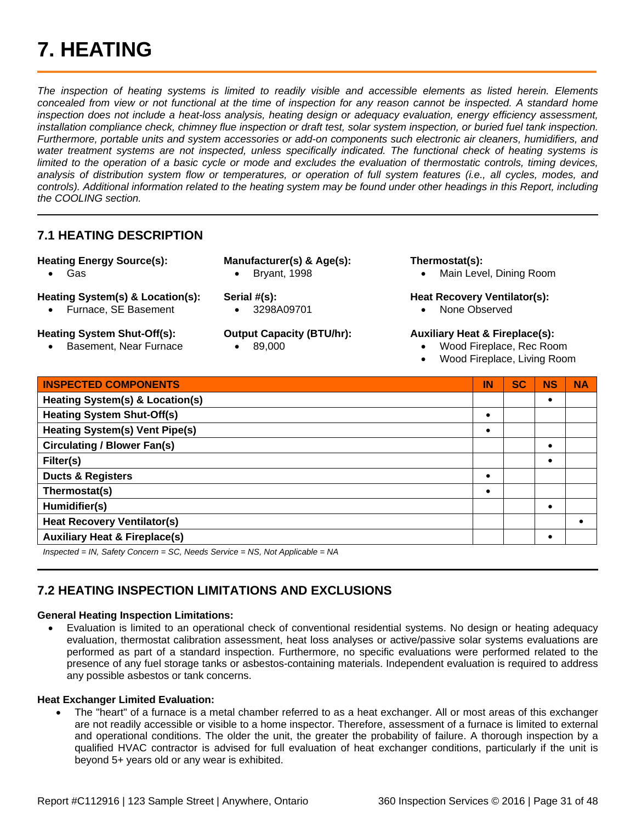## <span id="page-30-0"></span>**7. HEATING**

*The inspection of heating systems is limited to readily visible and accessible elements as listed herein. Elements*  concealed from view or not functional at the time of inspection for any reason cannot be inspected. A standard home *inspection does not include a heat-loss analysis, heating design or adequacy evaluation, energy efficiency assessment, installation compliance check, chimney flue inspection or draft test, solar system inspection, or buried fuel tank inspection. Furthermore, portable units and system accessories or add-on components such electronic air cleaners, humidifiers, and*  water treatment systems are not inspected, unless specifically indicated. The functional check of heating systems is limited to the operation of a basic cycle or mode and excludes the evaluation of thermostatic controls, timing devices, *analysis of distribution system flow or temperatures, or operation of full system features (i.e., all cycles, modes, and controls). Additional information related to the heating system may be found under other headings in this Report, including the COOLING section.*

### <span id="page-30-1"></span>**7.1 HEATING DESCRIPTION**

**Heating Energy Source(s):** 

• Gas

- **Manufacturer(s) & Age(s):**
	- Bryant, 1998

**Heating System(s) & Location(s):**

- Furnace, SE Basement
- **Heating System Shut-Off(s):**
	- Basement, Near Furnace
- **Output Capacity (BTU/hr):**

• 3298A09701

• 89,000

**Serial #(s):**

### **Thermostat(s):**

• Main Level, Dining Room

### **Heat Recovery Ventilator(s):**

• None Observed

### **Auxiliary Heat & Fireplace(s):**

- Wood Fireplace, Rec Room
- Wood Fireplace, Living Room

| <b>INSPECTED COMPONENTS</b>              | IN        | <b>SC</b> | <b>NS</b> | <b>NA</b> |
|------------------------------------------|-----------|-----------|-----------|-----------|
| Heating System(s) & Location(s)          |           |           |           |           |
| <b>Heating System Shut-Off(s)</b>        |           |           |           |           |
| <b>Heating System(s) Vent Pipe(s)</b>    |           |           |           |           |
| <b>Circulating / Blower Fan(s)</b>       |           |           |           |           |
| Filter(s)                                |           |           |           |           |
| <b>Ducts &amp; Registers</b>             |           |           |           |           |
| Thermostat(s)                            | $\bullet$ |           |           |           |
| Humidifier(s)                            |           |           |           |           |
| <b>Heat Recovery Ventilator(s)</b>       |           |           |           |           |
| <b>Auxiliary Heat &amp; Fireplace(s)</b> |           |           |           |           |

*Inspected = IN, Safety Concern = SC, Needs Service = NS, Not Applicable = NA*

### <span id="page-30-2"></span>**7.2 HEATING INSPECTION LIMITATIONS AND EXCLUSIONS**

### **General Heating Inspection Limitations:**

• Evaluation is limited to an operational check of conventional residential systems. No design or heating adequacy evaluation, thermostat calibration assessment, heat loss analyses or active/passive solar systems evaluations are performed as part of a standard inspection. Furthermore, no specific evaluations were performed related to the presence of any fuel storage tanks or asbestos-containing materials. Independent evaluation is required to address any possible asbestos or tank concerns.

### **Heat Exchanger Limited Evaluation:**

• The "heart" of a furnace is a metal chamber referred to as a heat exchanger. All or most areas of this exchanger are not readily accessible or visible to a home inspector. Therefore, assessment of a furnace is limited to external and operational conditions. The older the unit, the greater the probability of failure. A thorough inspection by a qualified HVAC contractor is advised for full evaluation of heat exchanger conditions, particularly if the unit is beyond 5+ years old or any wear is exhibited.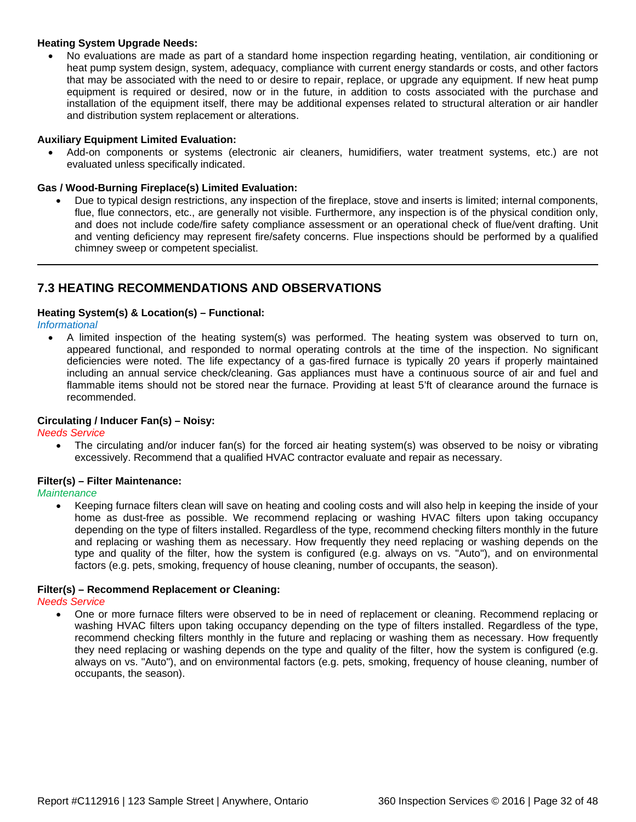### **Heating System Upgrade Needs:**

• No evaluations are made as part of a standard home inspection regarding heating, ventilation, air conditioning or heat pump system design, system, adequacy, compliance with current energy standards or costs, and other factors that may be associated with the need to or desire to repair, replace, or upgrade any equipment. If new heat pump equipment is required or desired, now or in the future, in addition to costs associated with the purchase and installation of the equipment itself, there may be additional expenses related to structural alteration or air handler and distribution system replacement or alterations.

### **Auxiliary Equipment Limited Evaluation:**

• Add-on components or systems (electronic air cleaners, humidifiers, water treatment systems, etc.) are not evaluated unless specifically indicated.

### **Gas / Wood-Burning Fireplace(s) Limited Evaluation:**

• Due to typical design restrictions, any inspection of the fireplace, stove and inserts is limited; internal components, flue, flue connectors, etc., are generally not visible. Furthermore, any inspection is of the physical condition only, and does not include code/fire safety compliance assessment or an operational check of flue/vent drafting. Unit and venting deficiency may represent fire/safety concerns. Flue inspections should be performed by a qualified chimney sweep or competent specialist.

### <span id="page-31-0"></span>**7.3 HEATING RECOMMENDATIONS AND OBSERVATIONS**

### **Heating System(s) & Location(s) – Functional:**

*Informational*

• A limited inspection of the heating system(s) was performed. The heating system was observed to turn on, appeared functional, and responded to normal operating controls at the time of the inspection. No significant deficiencies were noted. The life expectancy of a gas-fired furnace is typically 20 years if properly maintained including an annual service check/cleaning. Gas appliances must have a continuous source of air and fuel and flammable items should not be stored near the furnace. Providing at least 5'ft of clearance around the furnace is recommended.

#### **Circulating / Inducer Fan(s) – Noisy:**

*Needs Service*

• The circulating and/or inducer fan(s) for the forced air heating system(s) was observed to be noisy or vibrating excessively. Recommend that a qualified HVAC contractor evaluate and repair as necessary.

#### **Filter(s) – Filter Maintenance:**

*Maintenance*

• Keeping furnace filters clean will save on heating and cooling costs and will also help in keeping the inside of your home as dust-free as possible. We recommend replacing or washing HVAC filters upon taking occupancy depending on the type of filters installed. Regardless of the type, recommend checking filters monthly in the future and replacing or washing them as necessary. How frequently they need replacing or washing depends on the type and quality of the filter, how the system is configured (e.g. always on vs. "Auto"), and on environmental factors (e.g. pets, smoking, frequency of house cleaning, number of occupants, the season).

### **Filter(s) – Recommend Replacement or Cleaning:**

*Needs Service*

• One or more furnace filters were observed to be in need of replacement or cleaning. Recommend replacing or washing HVAC filters upon taking occupancy depending on the type of filters installed. Regardless of the type, recommend checking filters monthly in the future and replacing or washing them as necessary. How frequently they need replacing or washing depends on the type and quality of the filter, how the system is configured (e.g. always on vs. "Auto"), and on environmental factors (e.g. pets, smoking, frequency of house cleaning, number of occupants, the season).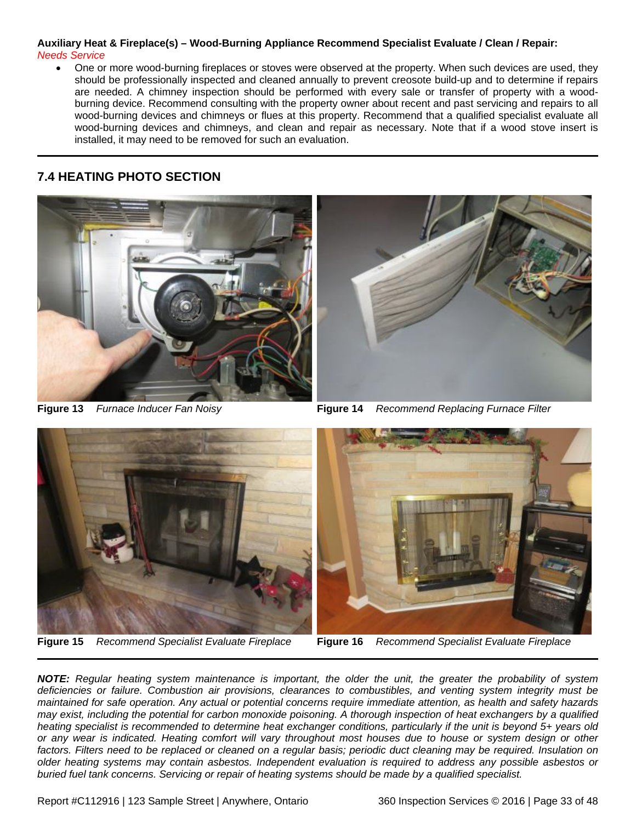### **Auxiliary Heat & Fireplace(s) – Wood-Burning Appliance Recommend Specialist Evaluate / Clean / Repair:** *Needs Service*

• One or more wood-burning fireplaces or stoves were observed at the property. When such devices are used, they should be professionally inspected and cleaned annually to prevent creosote build-up and to determine if repairs are needed. A chimney inspection should be performed with every sale or transfer of property with a woodburning device. Recommend consulting with the property owner about recent and past servicing and repairs to all wood-burning devices and chimneys or flues at this property. Recommend that a qualified specialist evaluate all wood-burning devices and chimneys, and clean and repair as necessary. Note that if a wood stove insert is installed, it may need to be removed for such an evaluation.

### <span id="page-32-0"></span>**7.4 HEATING PHOTO SECTION**





**Figure 13** *Furnace Inducer Fan Noisy* **Figure 14** *Recommend Replacing Furnace Filter*



**Figure 15** *Recommend Specialist Evaluate Fireplace* **Figure 16** *Recommend Specialist Evaluate Fireplace*



*NOTE: Regular heating system maintenance is important, the older the unit, the greater the probability of system deficiencies or failure. Combustion air provisions, clearances to combustibles, and venting system integrity must be maintained for safe operation. Any actual or potential concerns require immediate attention, as health and safety hazards may exist, including the potential for carbon monoxide poisoning. A thorough inspection of heat exchangers by a qualified heating specialist is recommended to determine heat exchanger conditions, particularly if the unit is beyond 5+ years old or any wear is indicated. Heating comfort will vary throughout most houses due to house or system design or other factors. Filters need to be replaced or cleaned on a regular basis; periodic duct cleaning may be required. Insulation on older heating systems may contain asbestos. Independent evaluation is required to address any possible asbestos or buried fuel tank concerns. Servicing or repair of heating systems should be made by a qualified specialist.*

Report #C112916 | 123 Sample Street | Anywhere, Ontario 360 Inspection Services © 2016 | Page 33 of 48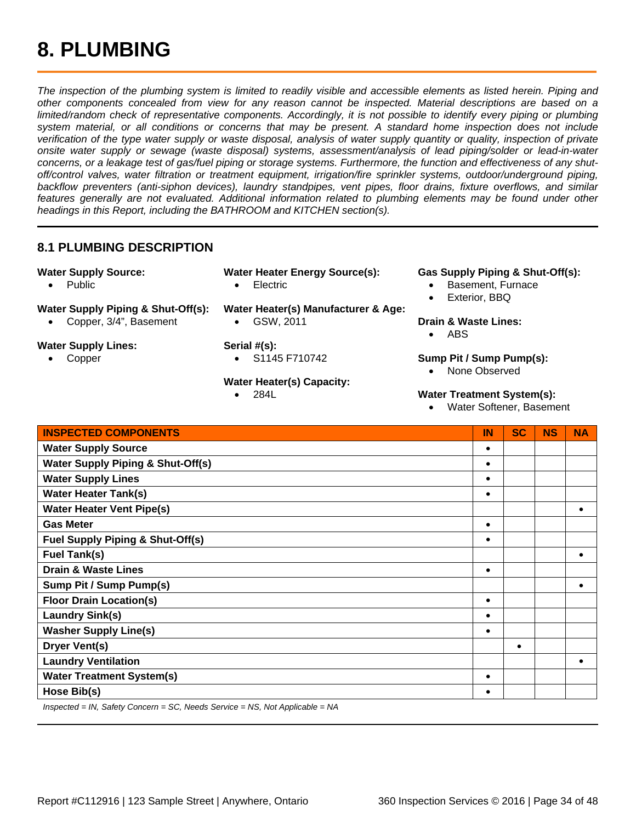<span id="page-33-0"></span>*The inspection of the plumbing system is limited to readily visible and accessible elements as listed herein. Piping and other components concealed from view for any reason cannot be inspected. Material descriptions are based on a limited/random check of representative components. Accordingly, it is not possible to identify every piping or plumbing system material, or all conditions or concerns that may be present. A standard home inspection does not include verification of the type water supply or waste disposal, analysis of water supply quantity or quality, inspection of private onsite water supply or sewage (waste disposal) systems, assessment/analysis of lead piping/solder or lead-in-water concerns, or a leakage test of gas/fuel piping or storage systems. Furthermore, the function and effectiveness of any shutoff/control valves, water filtration or treatment equipment, irrigation/fire sprinkler systems, outdoor/underground piping, backflow preventers (anti-siphon devices), laundry standpipes, vent pipes, floor drains, fixture overflows, and similar*  features generally are not evaluated. Additional information related to plumbing elements may be found under other *headings in this Report, including the BATHROOM and KITCHEN section(s).*

### <span id="page-33-1"></span>**8.1 PLUMBING DESCRIPTION**

- **Water Supply Source:** 
	- Public
- **Water Supply Piping & Shut-Off(s):**
	- Copper, 3/4", Basement
- **Water Supply Lines:**
	- **Copper**
- **Water Heater Energy Source(s):** • Electric
	-
- **Water Heater(s) Manufacturer & Age:**
	- GSW, 2011

### **Serial #(s):**

• S1145 F710742

### **Water Heater(s) Capacity:**

• 284L

### **Gas Supply Piping & Shut-Off(s):**

- Basement, Furnace
- Exterior, BBQ

### **Drain & Waste Lines:**

• ABS

### **Sump Pit / Sump Pump(s):**

• None Observed

### **Water Treatment System(s):**

• Water Softener, Basement

| <b>INSPECTED COMPONENTS</b>                  | IN | <b>SC</b> | <b>NS</b> | <b>NA</b> |
|----------------------------------------------|----|-----------|-----------|-----------|
| <b>Water Supply Source</b>                   |    |           |           |           |
| <b>Water Supply Piping &amp; Shut-Off(s)</b> |    |           |           |           |
| <b>Water Supply Lines</b>                    |    |           |           |           |
| <b>Water Heater Tank(s)</b>                  |    |           |           |           |
| <b>Water Heater Vent Pipe(s)</b>             |    |           |           |           |
| <b>Gas Meter</b>                             | ٠  |           |           |           |
| <b>Fuel Supply Piping &amp; Shut-Off(s)</b>  |    |           |           |           |
| <b>Fuel Tank(s)</b>                          |    |           |           |           |
| <b>Drain &amp; Waste Lines</b>               |    |           |           |           |
| <b>Sump Pit / Sump Pump(s)</b>               |    |           |           |           |
| <b>Floor Drain Location(s)</b>               |    |           |           |           |
| <b>Laundry Sink(s)</b>                       |    |           |           |           |
| <b>Washer Supply Line(s)</b>                 |    |           |           |           |
| <b>Dryer Vent(s)</b>                         |    |           |           |           |
| <b>Laundry Ventilation</b>                   |    |           |           |           |
| <b>Water Treatment System(s)</b>             |    |           |           |           |
| Hose Bib(s)                                  |    |           |           |           |

*Inspected = IN, Safety Concern = SC, Needs Service = NS, Not Applicable = NA*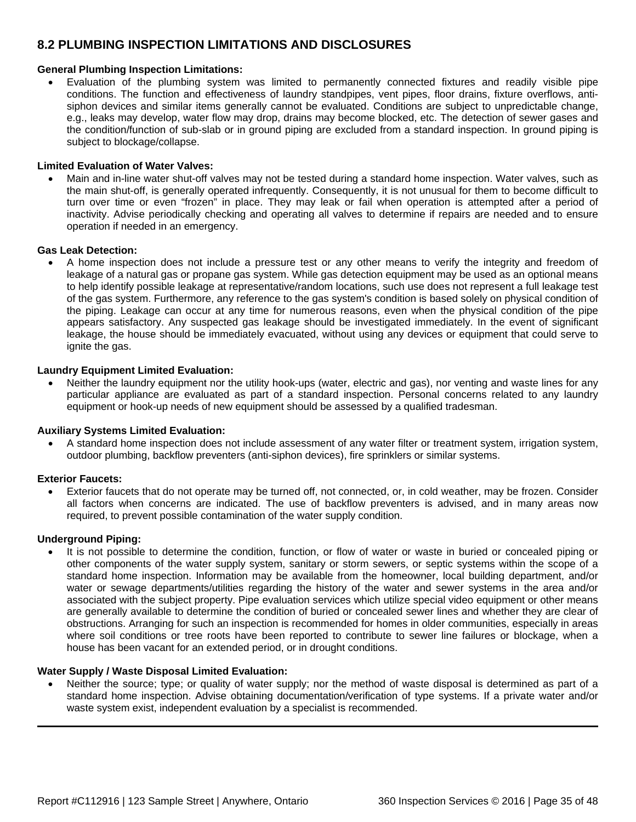### <span id="page-34-0"></span>**8.2 PLUMBING INSPECTION LIMITATIONS AND DISCLOSURES**

### **General Plumbing Inspection Limitations:**

• Evaluation of the plumbing system was limited to permanently connected fixtures and readily visible pipe conditions. The function and effectiveness of laundry standpipes, vent pipes, floor drains, fixture overflows, antisiphon devices and similar items generally cannot be evaluated. Conditions are subject to unpredictable change, e.g., leaks may develop, water flow may drop, drains may become blocked, etc. The detection of sewer gases and the condition/function of sub-slab or in ground piping are excluded from a standard inspection. In ground piping is subject to blockage/collapse.

#### **Limited Evaluation of Water Valves:**

• Main and in-line water shut-off valves may not be tested during a standard home inspection. Water valves, such as the main shut-off, is generally operated infrequently. Consequently, it is not unusual for them to become difficult to turn over time or even "frozen" in place. They may leak or fail when operation is attempted after a period of inactivity. Advise periodically checking and operating all valves to determine if repairs are needed and to ensure operation if needed in an emergency.

#### **Gas Leak Detection:**

• A home inspection does not include a pressure test or any other means to verify the integrity and freedom of leakage of a natural gas or propane gas system. While gas detection equipment may be used as an optional means to help identify possible leakage at representative/random locations, such use does not represent a full leakage test of the gas system. Furthermore, any reference to the gas system's condition is based solely on physical condition of the piping. Leakage can occur at any time for numerous reasons, even when the physical condition of the pipe appears satisfactory. Any suspected gas leakage should be investigated immediately. In the event of significant leakage, the house should be immediately evacuated, without using any devices or equipment that could serve to ignite the gas.

#### **Laundry Equipment Limited Evaluation:**

Neither the laundry equipment nor the utility hook-ups (water, electric and gas), nor venting and waste lines for any particular appliance are evaluated as part of a standard inspection. Personal concerns related to any laundry equipment or hook-up needs of new equipment should be assessed by a qualified tradesman.

### **Auxiliary Systems Limited Evaluation:**

• A standard home inspection does not include assessment of any water filter or treatment system, irrigation system, outdoor plumbing, backflow preventers (anti-siphon devices), fire sprinklers or similar systems.

#### **Exterior Faucets:**

• Exterior faucets that do not operate may be turned off, not connected, or, in cold weather, may be frozen. Consider all factors when concerns are indicated. The use of backflow preventers is advised, and in many areas now required, to prevent possible contamination of the water supply condition.

#### **Underground Piping:**

It is not possible to determine the condition, function, or flow of water or waste in buried or concealed piping or other components of the water supply system, sanitary or storm sewers, or septic systems within the scope of a standard home inspection. Information may be available from the homeowner, local building department, and/or water or sewage departments/utilities regarding the history of the water and sewer systems in the area and/or associated with the subject property. Pipe evaluation services which utilize special video equipment or other means are generally available to determine the condition of buried or concealed sewer lines and whether they are clear of obstructions. Arranging for such an inspection is recommended for homes in older communities, especially in areas where soil conditions or tree roots have been reported to contribute to sewer line failures or blockage, when a house has been vacant for an extended period, or in drought conditions.

#### **Water Supply / Waste Disposal Limited Evaluation:**

• Neither the source; type; or quality of water supply; nor the method of waste disposal is determined as part of a standard home inspection. Advise obtaining documentation/verification of type systems. If a private water and/or waste system exist, independent evaluation by a specialist is recommended.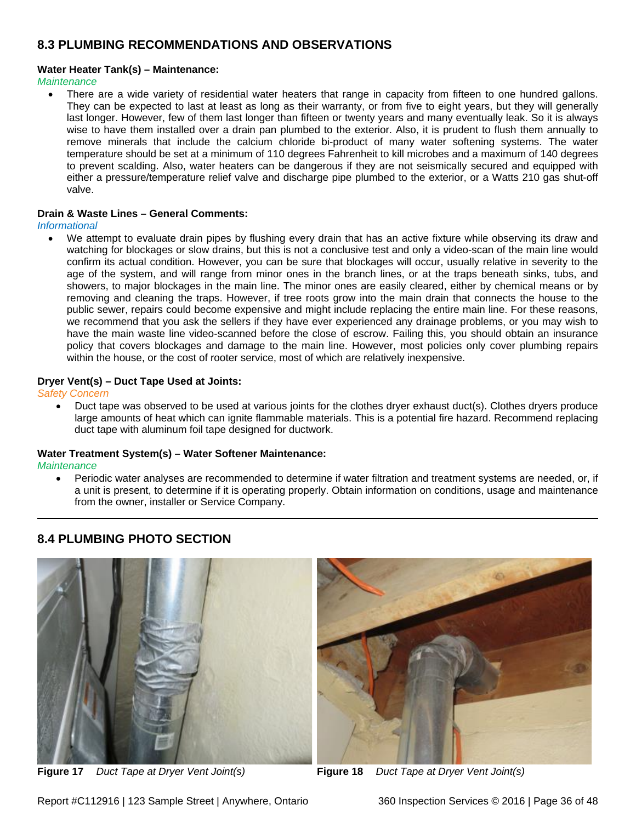### <span id="page-35-0"></span>**8.3 PLUMBING RECOMMENDATIONS AND OBSERVATIONS**

### **Water Heater Tank(s) – Maintenance:**

*Maintenance*

• There are a wide variety of residential water heaters that range in capacity from fifteen to one hundred gallons. They can be expected to last at least as long as their warranty, or from five to eight years, but they will generally last longer. However, few of them last longer than fifteen or twenty years and many eventually leak. So it is always wise to have them installed over a drain pan plumbed to the exterior. Also, it is prudent to flush them annually to remove minerals that include the calcium chloride bi-product of many water softening systems. The water temperature should be set at a minimum of 110 degrees Fahrenheit to kill microbes and a maximum of 140 degrees to prevent scalding. Also, water heaters can be dangerous if they are not seismically secured and equipped with either a pressure/temperature relief valve and discharge pipe plumbed to the exterior, or a Watts 210 gas shut-off valve.

### **Drain & Waste Lines – General Comments:**

*Informational*

• We attempt to evaluate drain pipes by flushing every drain that has an active fixture while observing its draw and watching for blockages or slow drains, but this is not a conclusive test and only a video-scan of the main line would confirm its actual condition. However, you can be sure that blockages will occur, usually relative in severity to the age of the system, and will range from minor ones in the branch lines, or at the traps beneath sinks, tubs, and showers, to major blockages in the main line. The minor ones are easily cleared, either by chemical means or by removing and cleaning the traps. However, if tree roots grow into the main drain that connects the house to the public sewer, repairs could become expensive and might include replacing the entire main line. For these reasons, we recommend that you ask the sellers if they have ever experienced any drainage problems, or you may wish to have the main waste line video-scanned before the close of escrow. Failing this, you should obtain an insurance policy that covers blockages and damage to the main line. However, most policies only cover plumbing repairs within the house, or the cost of rooter service, most of which are relatively inexpensive.

### **Dryer Vent(s) – Duct Tape Used at Joints:**

*Safety Concern*

• Duct tape was observed to be used at various joints for the clothes dryer exhaust duct(s). Clothes dryers produce large amounts of heat which can ignite flammable materials. This is a potential fire hazard. Recommend replacing duct tape with aluminum foil tape designed for ductwork.

#### **Water Treatment System(s) – Water Softener Maintenance:**

*Maintenance*

• Periodic water analyses are recommended to determine if water filtration and treatment systems are needed, or, if a unit is present, to determine if it is operating properly. Obtain information on conditions, usage and maintenance from the owner, installer or Service Company.

### <span id="page-35-1"></span>**8.4 PLUMBING PHOTO SECTION**



**Figure 17** *Duct Tape at Dryer Vent Joint(s)* **Figure 18** *Duct Tape at Dryer Vent Joint(s)*



Report #C112916 | 123 Sample Street | Anywhere, Ontario 360 Inspection Services © 2016 | Page 36 of 48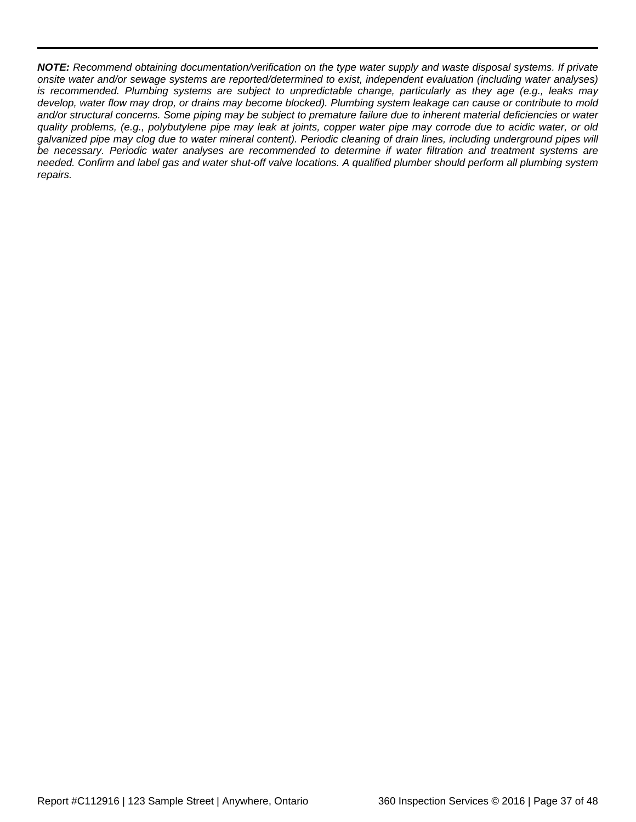*NOTE: Recommend obtaining documentation/verification on the type water supply and waste disposal systems. If private onsite water and/or sewage systems are reported/determined to exist, independent evaluation (including water analyses) is recommended. Plumbing systems are subject to unpredictable change, particularly as they age (e.g., leaks may develop, water flow may drop, or drains may become blocked). Plumbing system leakage can cause or contribute to mold and/or structural concerns. Some piping may be subject to premature failure due to inherent material deficiencies or water quality problems, (e.g., polybutylene pipe may leak at joints, copper water pipe may corrode due to acidic water, or old galvanized pipe may clog due to water mineral content). Periodic cleaning of drain lines, including underground pipes will be necessary. Periodic water analyses are recommended to determine if water filtration and treatment systems are needed. Confirm and label gas and water shut-off valve locations. A qualified plumber should perform all plumbing system repairs.*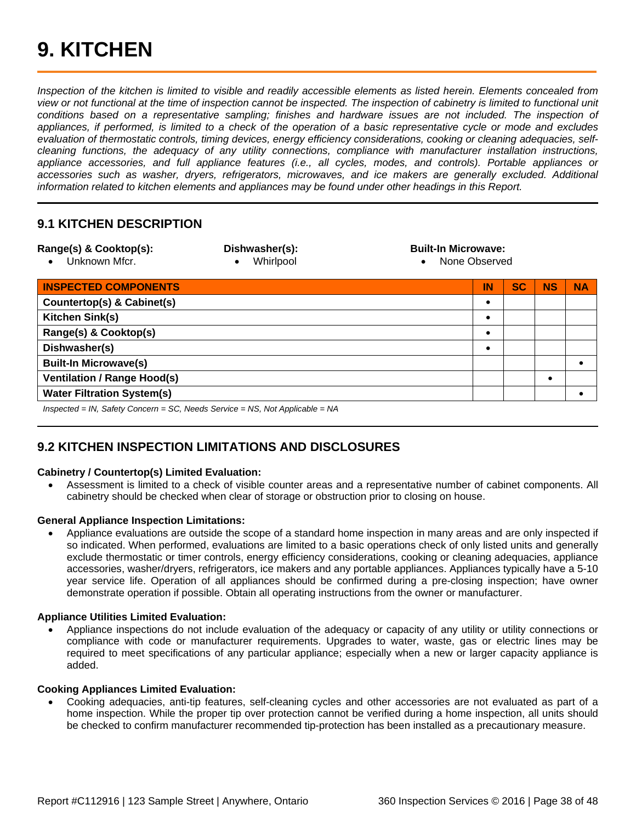<span id="page-37-0"></span>*Inspection of the kitchen is limited to visible and readily accessible elements as listed herein. Elements concealed from view or not functional at the time of inspection cannot be inspected. The inspection of cabinetry is limited to functional unit*  conditions based on a representative sampling; finishes and hardware issues are not included. The inspection of *appliances, if performed, is limited to a check of the operation of a basic representative cycle or mode and excludes evaluation of thermostatic controls, timing devices, energy efficiency considerations, cooking or cleaning adequacies, selfcleaning functions, the adequacy of any utility connections, compliance with manufacturer installation instructions, appliance accessories, and full appliance features (i.e., all cycles, modes, and controls). Portable appliances or accessories such as washer, dryers, refrigerators, microwaves, and ice makers are generally excluded. Additional information related to kitchen elements and appliances may be found under other headings in this Report.*

### <span id="page-37-1"></span>**9.1 KITCHEN DESCRIPTION**

| Range(s) & Cooktop(s):<br>Unknown Mfcr.                                        | Dishwasher(s):<br>Whirlpool<br>$\bullet$ | <b>Built-In Microwave:</b><br>None Observed<br>$\bullet$ |           |           |           |           |
|--------------------------------------------------------------------------------|------------------------------------------|----------------------------------------------------------|-----------|-----------|-----------|-----------|
| <b>INSPECTED COMPONENTS</b>                                                    |                                          |                                                          | IN        | <b>SC</b> | <b>NS</b> | <b>NA</b> |
| Countertop(s) & Cabinet(s)                                                     |                                          |                                                          |           |           |           |           |
| Kitchen Sink(s)                                                                |                                          |                                                          | $\bullet$ |           |           |           |
| Range(s) & Cooktop(s)                                                          |                                          |                                                          | $\bullet$ |           |           |           |
| Dishwasher(s)                                                                  |                                          |                                                          |           |           |           |           |
| <b>Built-In Microwave(s)</b>                                                   |                                          |                                                          |           |           |           |           |
| <b>Ventilation / Range Hood(s)</b>                                             |                                          |                                                          |           |           | $\bullet$ |           |
| <b>Water Filtration System(s)</b>                                              |                                          |                                                          |           |           |           |           |
| $Inspected = IN.$ Safety Concern = SC, Needs Service = NS, Not Applicable = NA |                                          |                                                          |           |           |           |           |

### <span id="page-37-2"></span>**9.2 KITCHEN INSPECTION LIMITATIONS AND DISCLOSURES**

### **Cabinetry / Countertop(s) Limited Evaluation:**

• Assessment is limited to a check of visible counter areas and a representative number of cabinet components. All cabinetry should be checked when clear of storage or obstruction prior to closing on house.

### **General Appliance Inspection Limitations:**

• Appliance evaluations are outside the scope of a standard home inspection in many areas and are only inspected if so indicated. When performed, evaluations are limited to a basic operations check of only listed units and generally exclude thermostatic or timer controls, energy efficiency considerations, cooking or cleaning adequacies, appliance accessories, washer/dryers, refrigerators, ice makers and any portable appliances. Appliances typically have a 5-10 year service life. Operation of all appliances should be confirmed during a pre-closing inspection; have owner demonstrate operation if possible. Obtain all operating instructions from the owner or manufacturer.

### **Appliance Utilities Limited Evaluation:**

• Appliance inspections do not include evaluation of the adequacy or capacity of any utility or utility connections or compliance with code or manufacturer requirements. Upgrades to water, waste, gas or electric lines may be required to meet specifications of any particular appliance; especially when a new or larger capacity appliance is added.

### **Cooking Appliances Limited Evaluation:**

• Cooking adequacies, anti-tip features, self-cleaning cycles and other accessories are not evaluated as part of a home inspection. While the proper tip over protection cannot be verified during a home inspection, all units should be checked to confirm manufacturer recommended tip-protection has been installed as a precautionary measure.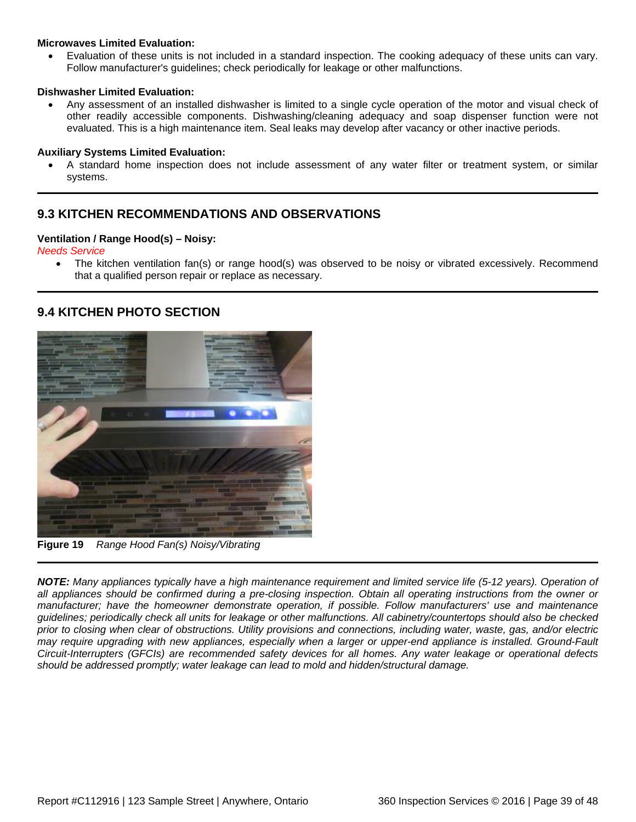### **Microwaves Limited Evaluation:**

• Evaluation of these units is not included in a standard inspection. The cooking adequacy of these units can vary. Follow manufacturer's guidelines; check periodically for leakage or other malfunctions.

### **Dishwasher Limited Evaluation:**

• Any assessment of an installed dishwasher is limited to a single cycle operation of the motor and visual check of other readily accessible components. Dishwashing/cleaning adequacy and soap dispenser function were not evaluated. This is a high maintenance item. Seal leaks may develop after vacancy or other inactive periods.

### **Auxiliary Systems Limited Evaluation:**

• A standard home inspection does not include assessment of any water filter or treatment system, or similar systems.

### <span id="page-38-0"></span>**9.3 KITCHEN RECOMMENDATIONS AND OBSERVATIONS**

### **Ventilation / Range Hood(s) – Noisy:**

*Needs Service*

• The kitchen ventilation fan(s) or range hood(s) was observed to be noisy or vibrated excessively. Recommend that a qualified person repair or replace as necessary.

### <span id="page-38-1"></span>**9.4 KITCHEN PHOTO SECTION**



**Figure 19** *Range Hood Fan(s) Noisy/Vibrating*

*NOTE: Many appliances typically have a high maintenance requirement and limited service life (5-12 years). Operation of all appliances should be confirmed during a pre-closing inspection. Obtain all operating instructions from the owner or manufacturer; have the homeowner demonstrate operation, if possible. Follow manufacturers' use and maintenance guidelines; periodically check all units for leakage or other malfunctions. All cabinetry/countertops should also be checked prior to closing when clear of obstructions. Utility provisions and connections, including water, waste, gas, and/or electric may require upgrading with new appliances, especially when a larger or upper-end appliance is installed. Ground-Fault Circuit-Interrupters (GFCIs) are recommended safety devices for all homes. Any water leakage or operational defects should be addressed promptly; water leakage can lead to mold and hidden/structural damage.*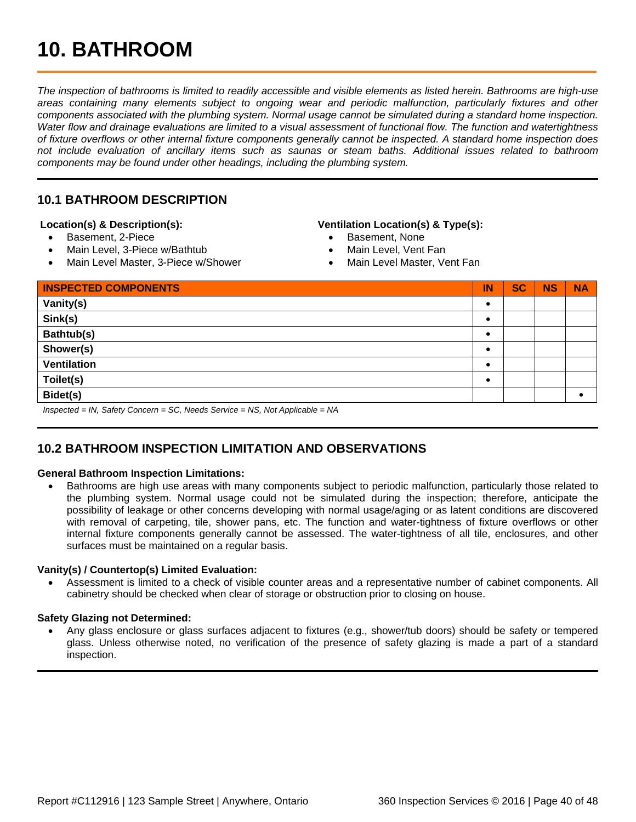## <span id="page-39-0"></span>**10. BATHROOM**

*The inspection of bathrooms is limited to readily accessible and visible elements as listed herein. Bathrooms are high-use areas containing many elements subject to ongoing wear and periodic malfunction, particularly fixtures and other components associated with the plumbing system. Normal usage cannot be simulated during a standard home inspection. Water flow and drainage evaluations are limited to a visual assessment of functional flow. The function and watertightness of fixture overflows or other internal fixture components generally cannot be inspected. A standard home inspection does not include evaluation of ancillary items such as saunas or steam baths. Additional issues related to bathroom components may be found under other headings, including the plumbing system.*

### <span id="page-39-1"></span>**10.1 BATHROOM DESCRIPTION**

### **Location(s) & Description(s):**

- Basement, 2-Piece
- Main Level, 3-Piece w/Bathtub
- Main Level Master, 3-Piece w/Shower

#### **Ventilation Location(s) & Type(s):**

- Basement, None
- Main Level, Vent Fan
- Main Level Master, Vent Fan

| <b>INSPECTED COMPONENTS</b>                                                  | IN        | <b>SC</b> | <b>NS</b> | <b>NA</b> |
|------------------------------------------------------------------------------|-----------|-----------|-----------|-----------|
| Vanity(s)                                                                    | $\bullet$ |           |           |           |
| Sink(s)                                                                      | $\bullet$ |           |           |           |
| Bathtub(s)                                                                   | ٠         |           |           |           |
| Shower(s)                                                                    | $\bullet$ |           |           |           |
| <b>Ventilation</b>                                                           | $\bullet$ |           |           |           |
| Toilet(s)                                                                    | $\bullet$ |           |           |           |
| Bidet(s)                                                                     |           |           |           |           |
| Inspected = IN, Safety Concern = SC, Needs Service = NS, Not Applicable = NA |           |           |           |           |

### <span id="page-39-2"></span>**10.2 BATHROOM INSPECTION LIMITATION AND OBSERVATIONS**

#### **General Bathroom Inspection Limitations:**

• Bathrooms are high use areas with many components subject to periodic malfunction, particularly those related to the plumbing system. Normal usage could not be simulated during the inspection; therefore, anticipate the possibility of leakage or other concerns developing with normal usage/aging or as latent conditions are discovered with removal of carpeting, tile, shower pans, etc. The function and water-tightness of fixture overflows or other internal fixture components generally cannot be assessed. The water-tightness of all tile, enclosures, and other surfaces must be maintained on a regular basis.

### **Vanity(s) / Countertop(s) Limited Evaluation:**

• Assessment is limited to a check of visible counter areas and a representative number of cabinet components. All cabinetry should be checked when clear of storage or obstruction prior to closing on house.

#### **Safety Glazing not Determined:**

• Any glass enclosure or glass surfaces adjacent to fixtures (e.g., shower/tub doors) should be safety or tempered glass. Unless otherwise noted, no verification of the presence of safety glazing is made a part of a standard inspection.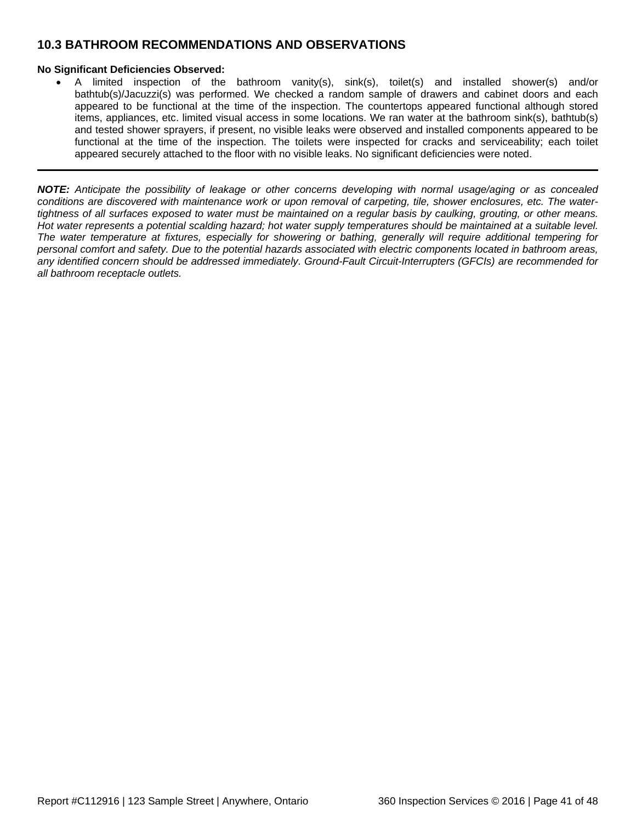### <span id="page-40-0"></span>**10.3 BATHROOM RECOMMENDATIONS AND OBSERVATIONS**

### **No Significant Deficiencies Observed:**

• A limited inspection of the bathroom vanity(s), sink(s), toilet(s) and installed shower(s) and/or bathtub(s)/Jacuzzi(s) was performed. We checked a random sample of drawers and cabinet doors and each appeared to be functional at the time of the inspection. The countertops appeared functional although stored items, appliances, etc. limited visual access in some locations. We ran water at the bathroom sink(s), bathtub(s) and tested shower sprayers, if present, no visible leaks were observed and installed components appeared to be functional at the time of the inspection. The toilets were inspected for cracks and serviceability; each toilet appeared securely attached to the floor with no visible leaks. No significant deficiencies were noted.

*NOTE: Anticipate the possibility of leakage or other concerns developing with normal usage/aging or as concealed conditions are discovered with maintenance work or upon removal of carpeting, tile, shower enclosures, etc. The watertightness of all surfaces exposed to water must be maintained on a regular basis by caulking, grouting, or other means. Hot water represents a potential scalding hazard; hot water supply temperatures should be maintained at a suitable level. The water temperature at fixtures, especially for showering or bathing, generally will require additional tempering for personal comfort and safety. Due to the potential hazards associated with electric components located in bathroom areas, any identified concern should be addressed immediately. Ground-Fault Circuit-Interrupters (GFCIs) are recommended for all bathroom receptacle outlets.*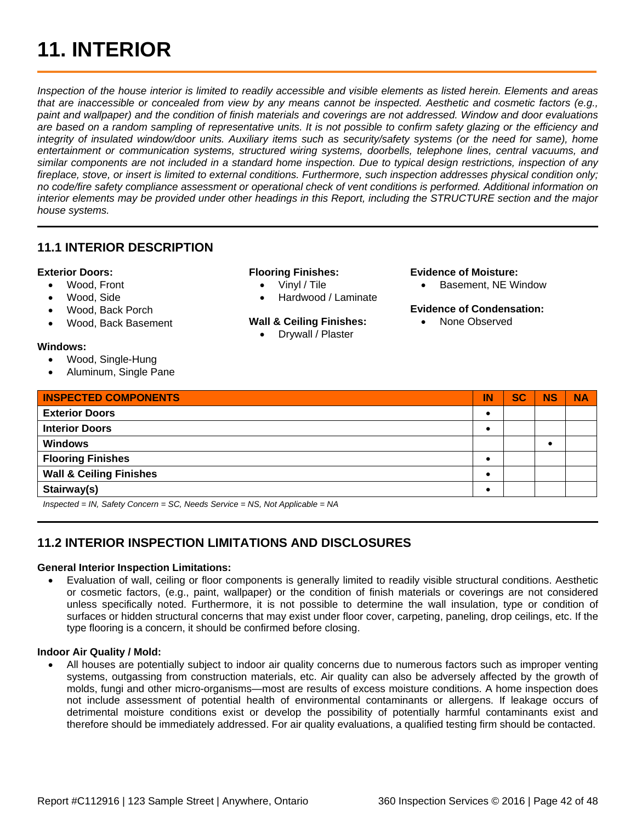## <span id="page-41-0"></span>**11. INTERIOR**

*Inspection of the house interior is limited to readily accessible and visible elements as listed herein. Elements and areas that are inaccessible or concealed from view by any means cannot be inspected. Aesthetic and cosmetic factors (e.g., paint and wallpaper) and the condition of finish materials and coverings are not addressed. Window and door evaluations are based on a random sampling of representative units. It is not possible to confirm safety glazing or the efficiency and integrity of insulated window/door units. Auxiliary items such as security/safety systems (or the need for same), home entertainment or communication systems, structured wiring systems, doorbells, telephone lines, central vacuums, and similar components are not included in a standard home inspection. Due to typical design restrictions, inspection of any fireplace, stove, or insert is limited to external conditions. Furthermore, such inspection addresses physical condition only; no code/fire safety compliance assessment or operational check of vent conditions is performed. Additional information on interior elements may be provided under other headings in this Report, including the STRUCTURE section and the major house systems.*

### <span id="page-41-1"></span>**11.1 INTERIOR DESCRIPTION**

### **Exterior Doors:**

- Wood, Front
- Wood, Side
- Wood, Back Porch
- Wood, Back Basement

### **Windows:**

- Wood, Single-Hung
- Aluminum, Single Pane

#### **Flooring Finishes:**

- Vinyl / Tile
- Hardwood / Laminate

### **Wall & Ceiling Finishes:**

• Drywall / Plaster

### **Evidence of Moisture:**

• Basement, NE Window

#### **Evidence of Condensation:**

• None Observed

| <b>INSPECTED COMPONENTS</b>                                                                                                                                                                                                                                                                                                                                                          | IN | <b>SC</b> | <b>NS</b> | <b>NA</b> |
|--------------------------------------------------------------------------------------------------------------------------------------------------------------------------------------------------------------------------------------------------------------------------------------------------------------------------------------------------------------------------------------|----|-----------|-----------|-----------|
| <b>Exterior Doors</b>                                                                                                                                                                                                                                                                                                                                                                |    |           |           |           |
| <b>Interior Doors</b>                                                                                                                                                                                                                                                                                                                                                                |    |           |           |           |
| <b>Windows</b>                                                                                                                                                                                                                                                                                                                                                                       |    |           |           |           |
| <b>Flooring Finishes</b>                                                                                                                                                                                                                                                                                                                                                             |    |           |           |           |
| <b>Wall &amp; Ceiling Finishes</b>                                                                                                                                                                                                                                                                                                                                                   |    |           |           |           |
| Stairway(s)                                                                                                                                                                                                                                                                                                                                                                          |    |           |           |           |
| $\overline{1}$ $\overline{1}$ $\overline{1}$ $\overline{1}$ $\overline{1}$ $\overline{1}$ $\overline{1}$ $\overline{1}$ $\overline{1}$ $\overline{1}$ $\overline{1}$ $\overline{1}$ $\overline{1}$ $\overline{1}$ $\overline{1}$ $\overline{1}$ $\overline{1}$ $\overline{1}$ $\overline{1}$ $\overline{1}$ $\overline{1}$ $\overline{1}$ $\overline{1}$ $\overline{1}$ $\overline{$ |    |           |           |           |

*Inspected = IN, Safety Concern = SC, Needs Service = NS, Not Applicable = NA*

### <span id="page-41-2"></span>**11.2 INTERIOR INSPECTION LIMITATIONS AND DISCLOSURES**

### **General Interior Inspection Limitations:**

• Evaluation of wall, ceiling or floor components is generally limited to readily visible structural conditions. Aesthetic or cosmetic factors, (e.g., paint, wallpaper) or the condition of finish materials or coverings are not considered unless specifically noted. Furthermore, it is not possible to determine the wall insulation, type or condition of surfaces or hidden structural concerns that may exist under floor cover, carpeting, paneling, drop ceilings, etc. If the type flooring is a concern, it should be confirmed before closing.

### **Indoor Air Quality / Mold:**

• All houses are potentially subject to indoor air quality concerns due to numerous factors such as improper venting systems, outgassing from construction materials, etc. Air quality can also be adversely affected by the growth of molds, fungi and other micro-organisms—most are results of excess moisture conditions. A home inspection does not include assessment of potential health of environmental contaminants or allergens. If leakage occurs of detrimental moisture conditions exist or develop the possibility of potentially harmful contaminants exist and therefore should be immediately addressed. For air quality evaluations, a qualified testing firm should be contacted.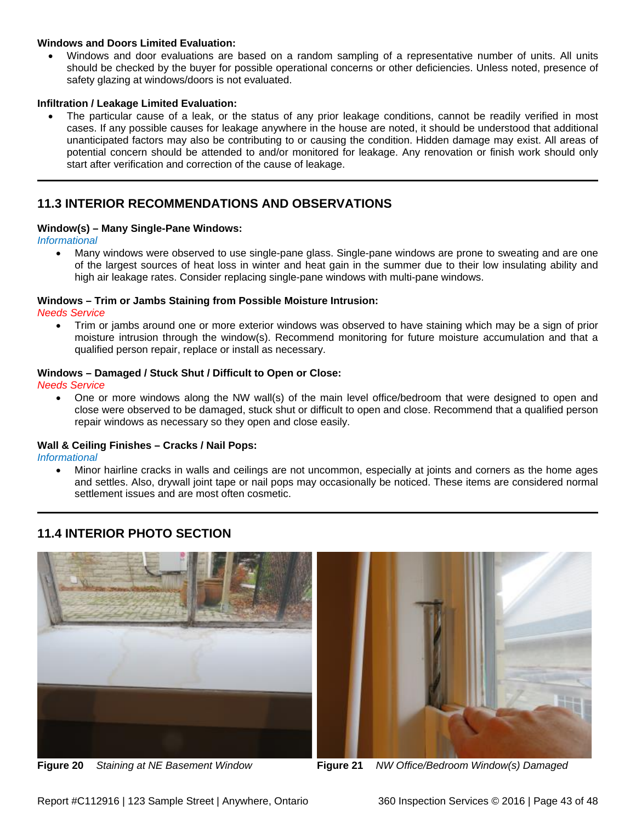### **Windows and Doors Limited Evaluation:**

• Windows and door evaluations are based on a random sampling of a representative number of units. All units should be checked by the buyer for possible operational concerns or other deficiencies. Unless noted, presence of safety glazing at windows/doors is not evaluated.

### **Infiltration / Leakage Limited Evaluation:**

The particular cause of a leak, or the status of any prior leakage conditions, cannot be readily verified in most cases. If any possible causes for leakage anywhere in the house are noted, it should be understood that additional unanticipated factors may also be contributing to or causing the condition. Hidden damage may exist. All areas of potential concern should be attended to and/or monitored for leakage. Any renovation or finish work should only start after verification and correction of the cause of leakage.

### <span id="page-42-0"></span>**11.3 INTERIOR RECOMMENDATIONS AND OBSERVATIONS**

### **Window(s) – Many Single-Pane Windows:**

*Informational*

• Many windows were observed to use single-pane glass. Single-pane windows are prone to sweating and are one of the largest sources of heat loss in winter and heat gain in the summer due to their low insulating ability and high air leakage rates. Consider replacing single-pane windows with multi-pane windows.

### **Windows – Trim or Jambs Staining from Possible Moisture Intrusion:**

*Needs Service*

• Trim or jambs around one or more exterior windows was observed to have staining which may be a sign of prior moisture intrusion through the window(s). Recommend monitoring for future moisture accumulation and that a qualified person repair, replace or install as necessary.

### **Windows – Damaged / Stuck Shut / Difficult to Open or Close:**

*Needs Service*

• One or more windows along the NW wall(s) of the main level office/bedroom that were designed to open and close were observed to be damaged, stuck shut or difficult to open and close. Recommend that a qualified person repair windows as necessary so they open and close easily.

### **Wall & Ceiling Finishes – Cracks / Nail Pops:**

*Informational*

• Minor hairline cracks in walls and ceilings are not uncommon, especially at joints and corners as the home ages and settles. Also, drywall joint tape or nail pops may occasionally be noticed. These items are considered normal settlement issues and are most often cosmetic.

### <span id="page-42-1"></span>**11.4 INTERIOR PHOTO SECTION**





**Figure 20** *Staining at NE Basement Window* **Figure 21** *NW Office/Bedroom Window(s) Damaged*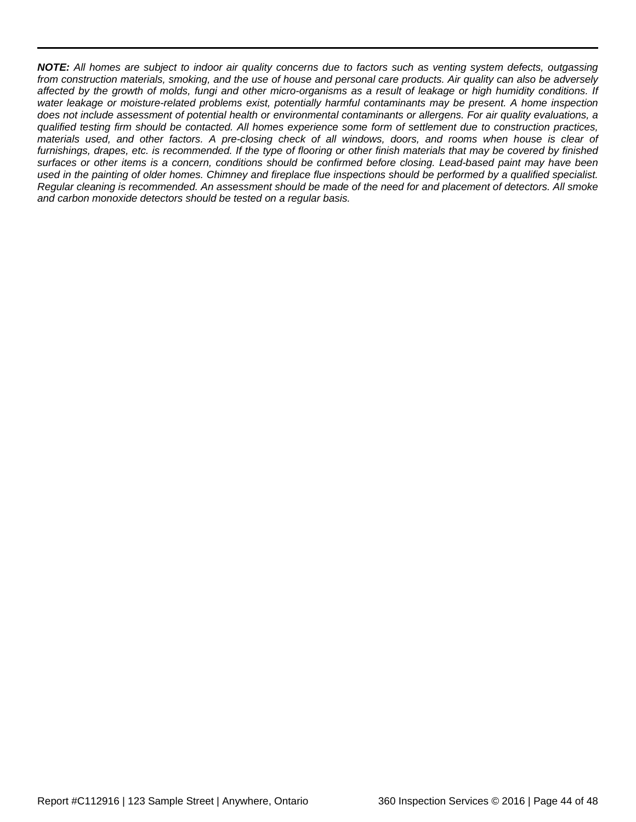*NOTE: All homes are subject to indoor air quality concerns due to factors such as venting system defects, outgassing from construction materials, smoking, and the use of house and personal care products. Air quality can also be adversely affected by the growth of molds, fungi and other micro-organisms as a result of leakage or high humidity conditions. If water leakage or moisture-related problems exist, potentially harmful contaminants may be present. A home inspection does not include assessment of potential health or environmental contaminants or allergens. For air quality evaluations, a qualified testing firm should be contacted. All homes experience some form of settlement due to construction practices, materials used, and other factors. A pre-closing check of all windows, doors, and rooms when house is clear of furnishings, drapes, etc. is recommended. If the type of flooring or other finish materials that may be covered by finished surfaces or other items is a concern, conditions should be confirmed before closing. Lead-based paint may have been used in the painting of older homes. Chimney and fireplace flue inspections should be performed by a qualified specialist. Regular cleaning is recommended. An assessment should be made of the need for and placement of detectors. All smoke and carbon monoxide detectors should be tested on a regular basis.*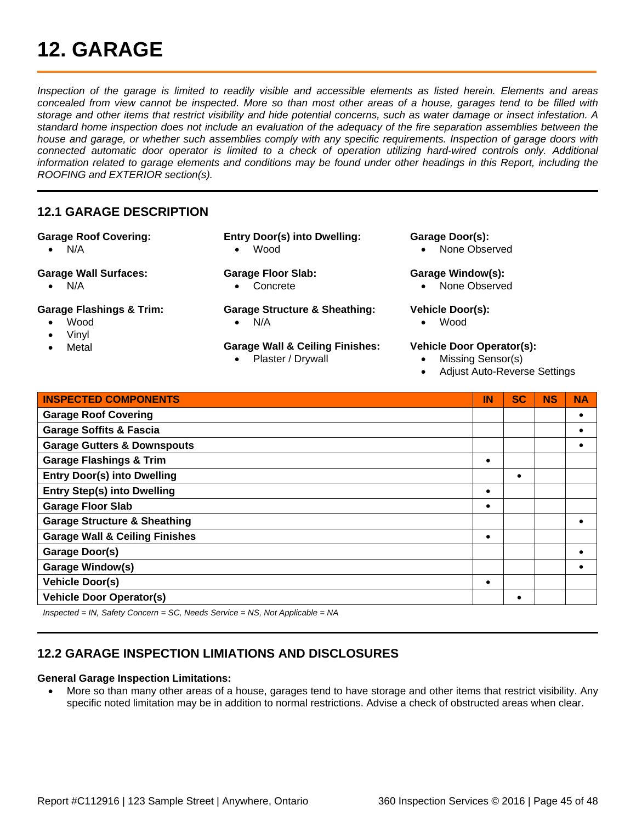## <span id="page-44-0"></span>**12. GARAGE**

*Inspection of the garage is limited to readily visible and accessible elements as listed herein. Elements and areas concealed from view cannot be inspected. More so than most other areas of a house, garages tend to be filled with storage and other items that restrict visibility and hide potential concerns, such as water damage or insect infestation. A standard home inspection does not include an evaluation of the adequacy of the fire separation assemblies between the house and garage, or whether such assemblies comply with any specific requirements. Inspection of garage doors with connected automatic door operator is limited to a check of operation utilizing hard-wired controls only. Additional information related to garage elements and conditions may be found under other headings in this Report, including the ROOFING and EXTERIOR section(s).*

### <span id="page-44-1"></span>**12.1 GARAGE DESCRIPTION**

### **Garage Roof Covering:**

- N/A
- **Garage Wall Surfaces:**
	- N/A

### **Garage Flashings & Trim:**

- Wood
- Vinyl
- **Metal**
- **Entry Door(s) into Dwelling:** • Wood
- **Garage Floor Slab:**  • Concrete

**Garage Structure & Sheathing:** • N/A

**Garage Wall & Ceiling Finishes:** • Plaster / Drywall

### **Garage Door(s):**

• None Observed

#### **Garage Window(s):**

• None Observed

### **Vehicle Door(s):**

• Wood

### **Vehicle Door Operator(s):**

- Missing Sensor(s)
- Adjust Auto-Reverse Settings

| <b>INSPECTED COMPONENTS</b>               | IN | <b>SC</b> | <b>NS</b> | <b>NA</b> |
|-------------------------------------------|----|-----------|-----------|-----------|
| <b>Garage Roof Covering</b>               |    |           |           |           |
| <b>Garage Soffits &amp; Fascia</b>        |    |           |           |           |
| <b>Garage Gutters &amp; Downspouts</b>    |    |           |           |           |
| <b>Garage Flashings &amp; Trim</b>        |    |           |           |           |
| <b>Entry Door(s) into Dwelling</b>        |    |           |           |           |
| <b>Entry Step(s) into Dwelling</b>        |    |           |           |           |
| <b>Garage Floor Slab</b>                  |    |           |           |           |
| <b>Garage Structure &amp; Sheathing</b>   |    |           |           |           |
| <b>Garage Wall &amp; Ceiling Finishes</b> |    |           |           |           |
| <b>Garage Door(s)</b>                     |    |           |           |           |
| <b>Garage Window(s)</b>                   |    |           |           |           |
| <b>Vehicle Door(s)</b>                    |    |           |           |           |
| <b>Vehicle Door Operator(s)</b>           |    |           |           |           |

*Inspected = IN, Safety Concern = SC, Needs Service = NS, Not Applicable = NA*

### <span id="page-44-2"></span>**12.2 GARAGE INSPECTION LIMIATIONS AND DISCLOSURES**

### **General Garage Inspection Limitations:**

• More so than many other areas of a house, garages tend to have storage and other items that restrict visibility. Any specific noted limitation may be in addition to normal restrictions. Advise a check of obstructed areas when clear.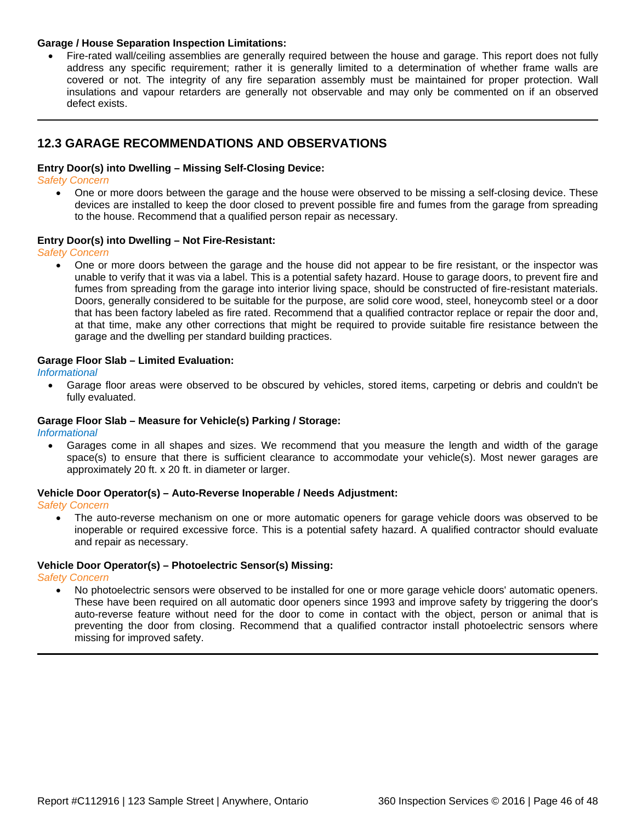#### **Garage / House Separation Inspection Limitations:**

• Fire-rated wall/ceiling assemblies are generally required between the house and garage. This report does not fully address any specific requirement; rather it is generally limited to a determination of whether frame walls are covered or not. The integrity of any fire separation assembly must be maintained for proper protection. Wall insulations and vapour retarders are generally not observable and may only be commented on if an observed defect exists.

### <span id="page-45-0"></span>**12.3 GARAGE RECOMMENDATIONS AND OBSERVATIONS**

### **Entry Door(s) into Dwelling – Missing Self-Closing Device:**

*Safety Concern*

• One or more doors between the garage and the house were observed to be missing a self-closing device. These devices are installed to keep the door closed to prevent possible fire and fumes from the garage from spreading to the house. Recommend that a qualified person repair as necessary.

#### **Entry Door(s) into Dwelling – Not Fire-Resistant:**

*Safety Concern*

• One or more doors between the garage and the house did not appear to be fire resistant, or the inspector was unable to verify that it was via a label. This is a potential safety hazard. House to garage doors, to prevent fire and fumes from spreading from the garage into interior living space, should be constructed of fire-resistant materials. Doors, generally considered to be suitable for the purpose, are solid core wood, steel, honeycomb steel or a door that has been factory labeled as fire rated. Recommend that a qualified contractor replace or repair the door and, at that time, make any other corrections that might be required to provide suitable fire resistance between the garage and the dwelling per standard building practices.

#### **Garage Floor Slab – Limited Evaluation:**

*Informational*

• Garage floor areas were observed to be obscured by vehicles, stored items, carpeting or debris and couldn't be fully evaluated.

#### **Garage Floor Slab – Measure for Vehicle(s) Parking / Storage:**

*Informational*

• Garages come in all shapes and sizes. We recommend that you measure the length and width of the garage space(s) to ensure that there is sufficient clearance to accommodate your vehicle(s). Most newer garages are approximately 20 ft. x 20 ft. in diameter or larger.

#### **Vehicle Door Operator(s) – Auto-Reverse Inoperable / Needs Adjustment:**

*Safety Concern*

• The auto-reverse mechanism on one or more automatic openers for garage vehicle doors was observed to be inoperable or required excessive force. This is a potential safety hazard. A qualified contractor should evaluate and repair as necessary.

#### **Vehicle Door Operator(s) – Photoelectric Sensor(s) Missing:**

*Safety Concern*

• No photoelectric sensors were observed to be installed for one or more garage vehicle doors' automatic openers. These have been required on all automatic door openers since 1993 and improve safety by triggering the door's auto-reverse feature without need for the door to come in contact with the object, person or animal that is preventing the door from closing. Recommend that a qualified contractor install photoelectric sensors where missing for improved safety.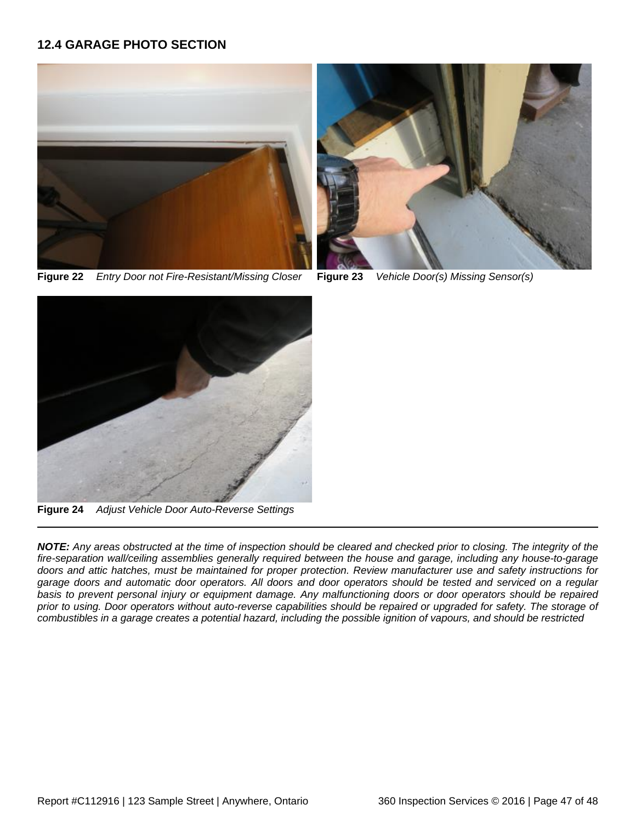### <span id="page-46-0"></span>**12.4 GARAGE PHOTO SECTION**



**Figure 22** *Entry Door not Fire-Resistant/Missing Closer* **Figure 23** *Vehicle Door(s) Missing Sensor(s)*





**Figure 24** *Adjust Vehicle Door Auto-Reverse Settings*

*NOTE: Any areas obstructed at the time of inspection should be cleared and checked prior to closing. The integrity of the fire-separation wall/ceiling assemblies generally required between the house and garage, including any house-to-garage doors and attic hatches, must be maintained for proper protection. Review manufacturer use and safety instructions for garage doors and automatic door operators. All doors and door operators should be tested and serviced on a regular basis to prevent personal injury or equipment damage. Any malfunctioning doors or door operators should be repaired prior to using. Door operators without auto-reverse capabilities should be repaired or upgraded for safety. The storage of combustibles in a garage creates a potential hazard, including the possible ignition of vapours, and should be restricted*